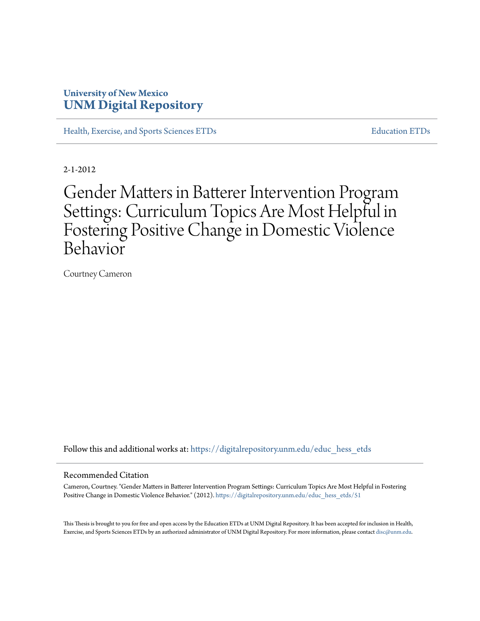### **University of New Mexico [UNM Digital Repository](https://digitalrepository.unm.edu?utm_source=digitalrepository.unm.edu%2Feduc_hess_etds%2F51&utm_medium=PDF&utm_campaign=PDFCoverPages)**

[Health, Exercise, and Sports Sciences ETDs](https://digitalrepository.unm.edu/educ_hess_etds?utm_source=digitalrepository.unm.edu%2Feduc_hess_etds%2F51&utm_medium=PDF&utm_campaign=PDFCoverPages) [Education ETDs](https://digitalrepository.unm.edu/educ_etds?utm_source=digitalrepository.unm.edu%2Feduc_hess_etds%2F51&utm_medium=PDF&utm_campaign=PDFCoverPages)

2-1-2012

# Gender Matters in Batterer Intervention Program Settings: Curriculum Topics Are Most Helpful in Fostering Positive Change in Domestic Violence Behavior

Courtney Cameron

Follow this and additional works at: [https://digitalrepository.unm.edu/educ\\_hess\\_etds](https://digitalrepository.unm.edu/educ_hess_etds?utm_source=digitalrepository.unm.edu%2Feduc_hess_etds%2F51&utm_medium=PDF&utm_campaign=PDFCoverPages)

#### Recommended Citation

Cameron, Courtney. "Gender Matters in Batterer Intervention Program Settings: Curriculum Topics Are Most Helpful in Fostering Positive Change in Domestic Violence Behavior." (2012). [https://digitalrepository.unm.edu/educ\\_hess\\_etds/51](https://digitalrepository.unm.edu/educ_hess_etds/51?utm_source=digitalrepository.unm.edu%2Feduc_hess_etds%2F51&utm_medium=PDF&utm_campaign=PDFCoverPages)

This Thesis is brought to you for free and open access by the Education ETDs at UNM Digital Repository. It has been accepted for inclusion in Health, Exercise, and Sports Sciences ETDs by an authorized administrator of UNM Digital Repository. For more information, please contact [disc@unm.edu.](mailto:disc@unm.edu)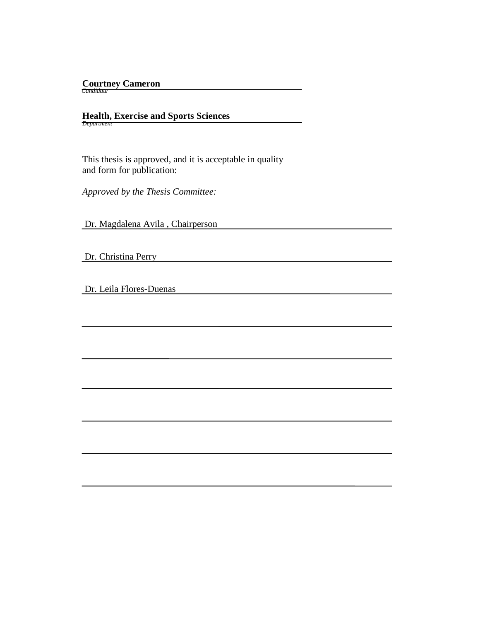## **Courtney Cameron**  *Candidate*

**Health, Exercise and Sports Sciences** *Department*

 This thesis is approved, and it is acceptable in quality and form for publication:

*Approved by the Thesis Committee:*

Dr. Magdalena Avila , Chairperson

Dr. Christina Perry

Dr. Leila Flores-Duenas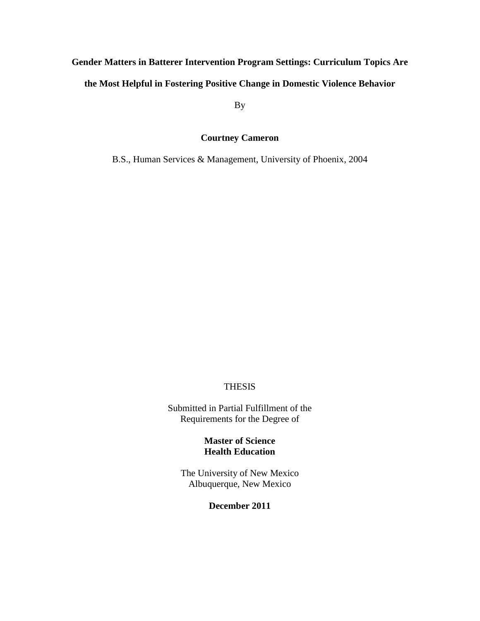# **Gender Matters in Batterer Intervention Program Settings: Curriculum Topics Are the Most Helpful in Fostering Positive Change in Domestic Violence Behavior**

By

### **Courtney Cameron**

B.S., Human Services & Management, University of Phoenix, 2004

### **THESIS**

Submitted in Partial Fulfillment of the Requirements for the Degree of

### **Master of Science Health Education**

The University of New Mexico Albuquerque, New Mexico

### **December 2011**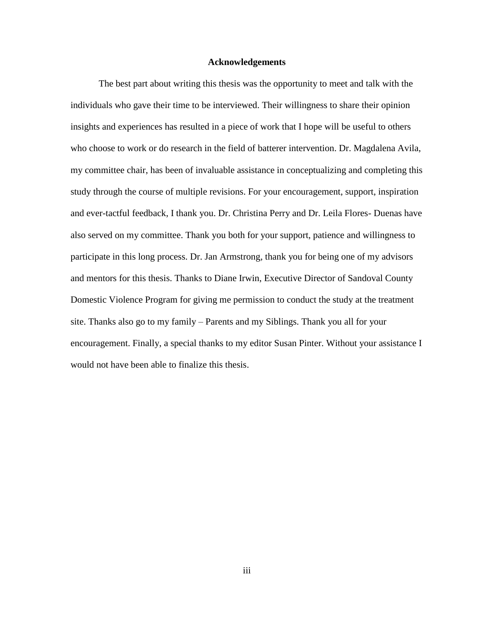### **Acknowledgements**

The best part about writing this thesis was the opportunity to meet and talk with the individuals who gave their time to be interviewed. Their willingness to share their opinion insights and experiences has resulted in a piece of work that I hope will be useful to others who choose to work or do research in the field of batterer intervention. Dr. Magdalena Avila, my committee chair, has been of invaluable assistance in conceptualizing and completing this study through the course of multiple revisions. For your encouragement, support, inspiration and ever-tactful feedback, I thank you. Dr. Christina Perry and Dr. Leila Flores- Duenas have also served on my committee. Thank you both for your support, patience and willingness to participate in this long process. Dr. Jan Armstrong, thank you for being one of my advisors and mentors for this thesis. Thanks to Diane Irwin, Executive Director of Sandoval County Domestic Violence Program for giving me permission to conduct the study at the treatment site. Thanks also go to my family – Parents and my Siblings. Thank you all for your encouragement. Finally, a special thanks to my editor Susan Pinter. Without your assistance I would not have been able to finalize this thesis.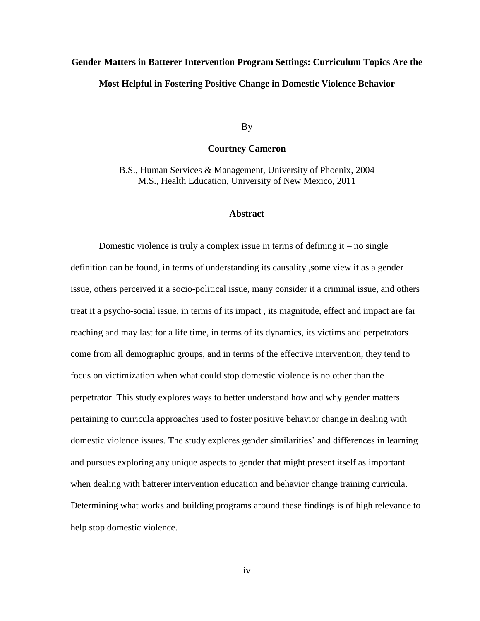## **Gender Matters in Batterer Intervention Program Settings: Curriculum Topics Are the Most Helpful in Fostering Positive Change in Domestic Violence Behavior**

By

### **Courtney Cameron**

B.S., Human Services & Management, University of Phoenix, 2004 M.S., Health Education, University of New Mexico, 2011

### **Abstract**

Domestic violence is truly a complex issue in terms of defining  $it - no$  single definition can be found, in terms of understanding its causality ,some view it as a gender issue, others perceived it a socio-political issue, many consider it a criminal issue, and others treat it a psycho-social issue, in terms of its impact , its magnitude, effect and impact are far reaching and may last for a life time, in terms of its dynamics, its victims and perpetrators come from all demographic groups, and in terms of the effective intervention, they tend to focus on victimization when what could stop domestic violence is no other than the perpetrator. This study explores ways to better understand how and why gender matters pertaining to curricula approaches used to foster positive behavior change in dealing with domestic violence issues. The study explores gender similarities' and differences in learning and pursues exploring any unique aspects to gender that might present itself as important when dealing with batterer intervention education and behavior change training curricula. Determining what works and building programs around these findings is of high relevance to help stop domestic violence.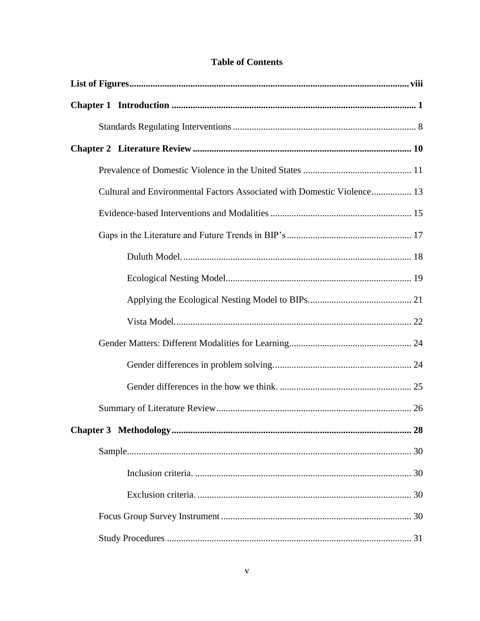| <b>Table of Contents</b> |  |
|--------------------------|--|
|--------------------------|--|

| Cultural and Environmental Factors Associated with Domestic Violence 13 |
|-------------------------------------------------------------------------|
|                                                                         |
|                                                                         |
|                                                                         |
|                                                                         |
|                                                                         |
|                                                                         |
|                                                                         |
|                                                                         |
|                                                                         |
|                                                                         |
| Chapter 3 Methodology.<br>28                                            |
|                                                                         |
|                                                                         |
|                                                                         |
|                                                                         |
|                                                                         |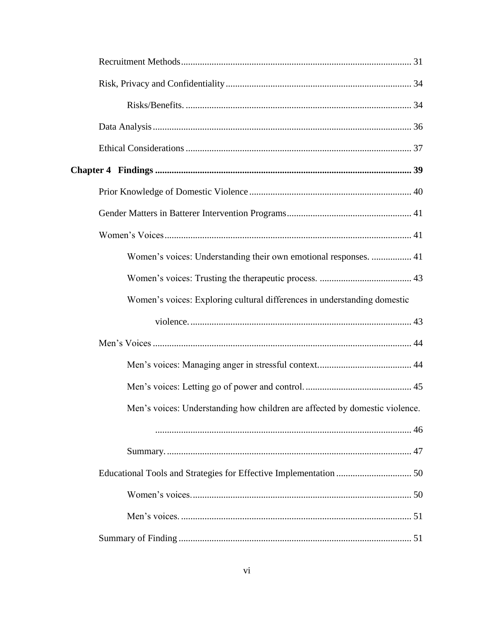| Women's voices: Understanding their own emotional responses.  41            |
|-----------------------------------------------------------------------------|
|                                                                             |
| Women's voices: Exploring cultural differences in understanding domestic    |
|                                                                             |
|                                                                             |
|                                                                             |
|                                                                             |
| Men's voices: Understanding how children are affected by domestic violence. |
|                                                                             |
|                                                                             |
|                                                                             |
|                                                                             |
|                                                                             |
|                                                                             |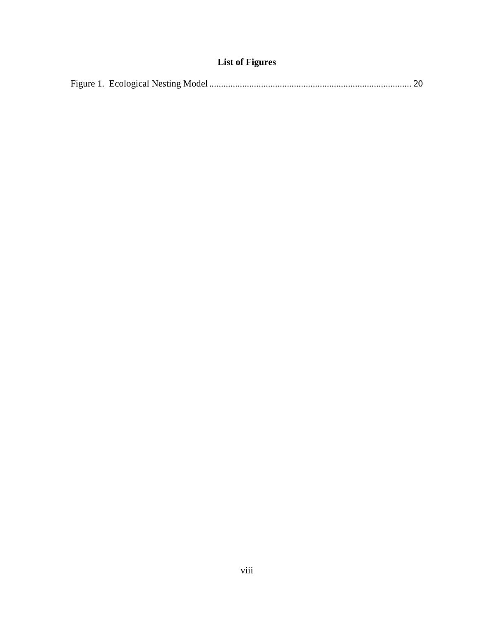### **List of Figures**

<span id="page-8-0"></span>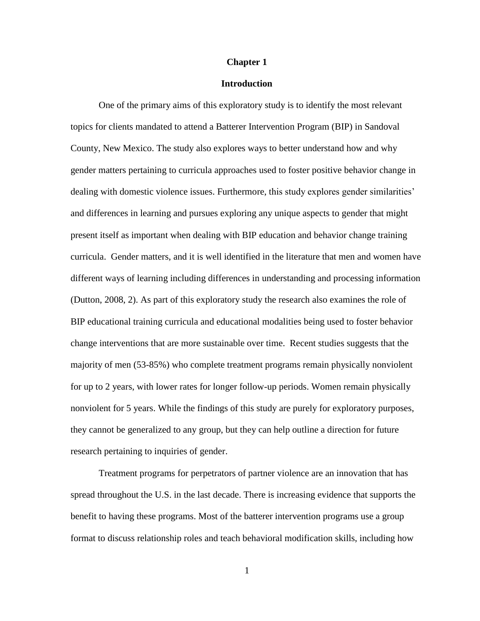### **Chapter 1**

### **Introduction**

<span id="page-9-0"></span>One of the primary aims of this exploratory study is to identify the most relevant topics for clients mandated to attend a Batterer Intervention Program (BIP) in Sandoval County, New Mexico. The study also explores ways to better understand how and why gender matters pertaining to curricula approaches used to foster positive behavior change in dealing with domestic violence issues. Furthermore, this study explores gender similarities' and differences in learning and pursues exploring any unique aspects to gender that might present itself as important when dealing with BIP education and behavior change training curricula. Gender matters, and it is well identified in the literature that men and women have different ways of learning including differences in understanding and processing information (Dutton, 2008, 2). As part of this exploratory study the research also examines the role of BIP educational training curricula and educational modalities being used to foster behavior change interventions that are more sustainable over time. Recent studies suggests that the majority of men (53-85%) who complete treatment programs remain physically nonviolent for up to 2 years, with lower rates for longer follow-up periods. Women remain physically nonviolent for 5 years. While the findings of this study are purely for exploratory purposes, they cannot be generalized to any group, but they can help outline a direction for future research pertaining to inquiries of gender.

Treatment programs for perpetrators of partner violence are an innovation that has spread throughout the U.S. in the last decade. There is increasing evidence that supports the benefit to having these programs. Most of the batterer intervention programs use a group format to discuss relationship roles and teach behavioral modification skills, including how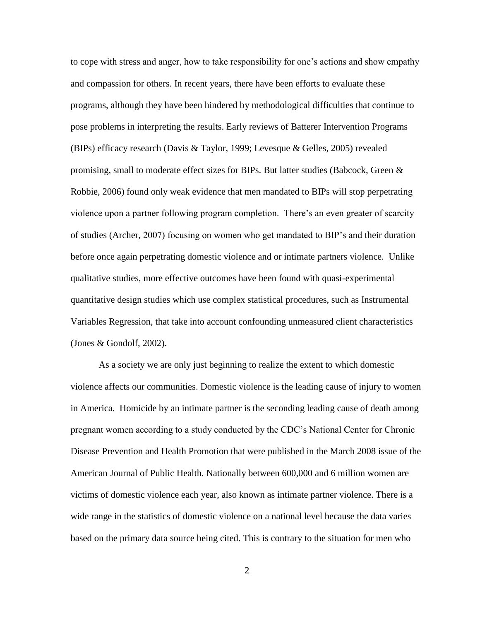to cope with stress and anger, how to take responsibility for one"s actions and show empathy and compassion for others. In recent years, there have been efforts to evaluate these programs, although they have been hindered by methodological difficulties that continue to pose problems in interpreting the results. Early reviews of Batterer Intervention Programs (BIPs) efficacy research (Davis & Taylor, 1999; Levesque & Gelles, 2005) revealed promising, small to moderate effect sizes for BIPs. But latter studies (Babcock, Green  $\&$ Robbie, 2006) found only weak evidence that men mandated to BIPs will stop perpetrating violence upon a partner following program completion. There"s an even greater of scarcity of studies (Archer, 2007) focusing on women who get mandated to BIP"s and their duration before once again perpetrating domestic violence and or intimate partners violence. Unlike qualitative studies, more effective outcomes have been found with quasi-experimental quantitative design studies which use complex statistical procedures, such as Instrumental Variables Regression, that take into account confounding unmeasured client characteristics (Jones & Gondolf, 2002).

As a society we are only just beginning to realize the extent to which domestic violence affects our communities. Domestic violence is the leading cause of injury to women in America. Homicide by an intimate partner is the seconding leading cause of death among pregnant women according to a study conducted by the CDC"s National Center for Chronic Disease Prevention and Health Promotion that were published in the March 2008 issue of the American Journal of Public Health. Nationally between 600,000 and 6 million women are victims of domestic violence each year, also known as intimate partner violence. There is a wide range in the statistics of domestic violence on a national level because the data varies based on the primary data source being cited. This is contrary to the situation for men who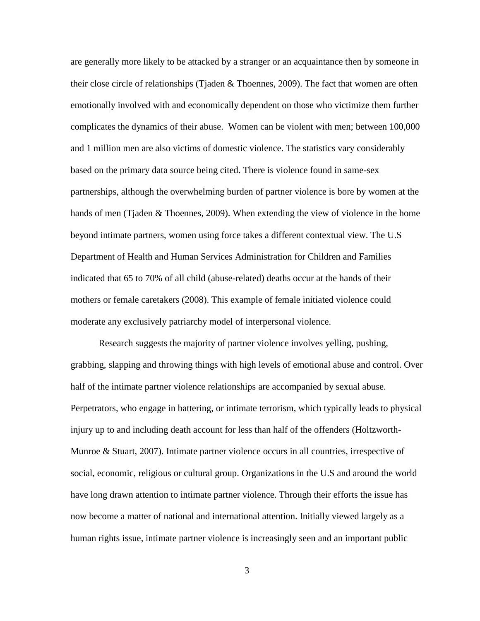are generally more likely to be attacked by a stranger or an acquaintance then by someone in their close circle of relationships (Tjaden & Thoennes, 2009). The fact that women are often emotionally involved with and economically dependent on those who victimize them further complicates the dynamics of their abuse. Women can be violent with men; between 100,000 and 1 million men are also victims of domestic violence. The statistics vary considerably based on the primary data source being cited. There is violence found in same-sex partnerships, although the overwhelming burden of partner violence is bore by women at the hands of men (Tjaden & Thoennes, 2009). When extending the view of violence in the home beyond intimate partners, women using force takes a different contextual view. The U.S Department of Health and Human Services Administration for Children and Families indicated that 65 to 70% of all child (abuse-related) deaths occur at the hands of their mothers or female caretakers (2008). This example of female initiated violence could moderate any exclusively patriarchy model of interpersonal violence.

Research suggests the majority of partner violence involves yelling, pushing, grabbing, slapping and throwing things with high levels of emotional abuse and control. Over half of the intimate partner violence relationships are accompanied by sexual abuse. Perpetrators, who engage in battering, or intimate terrorism, which typically leads to physical injury up to and including death account for less than half of the offenders (Holtzworth-Munroe & Stuart, 2007). Intimate partner violence occurs in all countries, irrespective of social, economic, religious or cultural group. Organizations in the U.S and around the world have long drawn attention to intimate partner violence. Through their efforts the issue has now become a matter of national and international attention. Initially viewed largely as a human rights issue, intimate partner violence is increasingly seen and an important public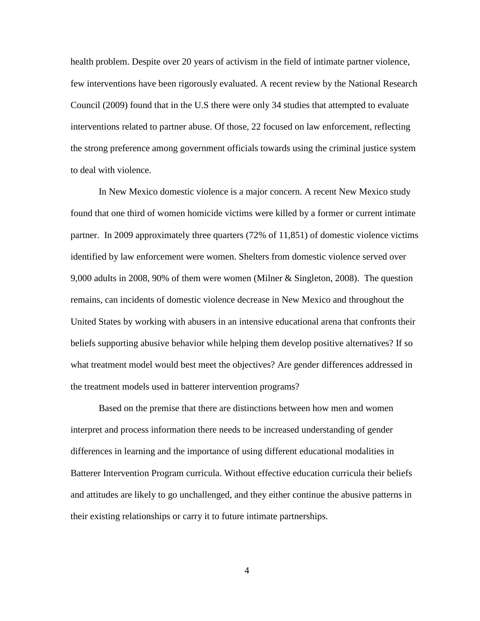health problem. Despite over 20 years of activism in the field of intimate partner violence, few interventions have been rigorously evaluated. A recent review by the National Research Council (2009) found that in the U.S there were only 34 studies that attempted to evaluate interventions related to partner abuse. Of those, 22 focused on law enforcement, reflecting the strong preference among government officials towards using the criminal justice system to deal with violence.

In New Mexico domestic violence is a major concern. A recent New Mexico study found that one third of women homicide victims were killed by a former or current intimate partner. In 2009 approximately three quarters (72% of 11,851) of domestic violence victims identified by law enforcement were women. Shelters from domestic violence served over 9,000 adults in 2008, 90% of them were women (Milner & Singleton, 2008). The question remains, can incidents of domestic violence decrease in New Mexico and throughout the United States by working with abusers in an intensive educational arena that confronts their beliefs supporting abusive behavior while helping them develop positive alternatives? If so what treatment model would best meet the objectives? Are gender differences addressed in the treatment models used in batterer intervention programs?

Based on the premise that there are distinctions between how men and women interpret and process information there needs to be increased understanding of gender differences in learning and the importance of using different educational modalities in Batterer Intervention Program curricula. Without effective education curricula their beliefs and attitudes are likely to go unchallenged, and they either continue the abusive patterns in their existing relationships or carry it to future intimate partnerships.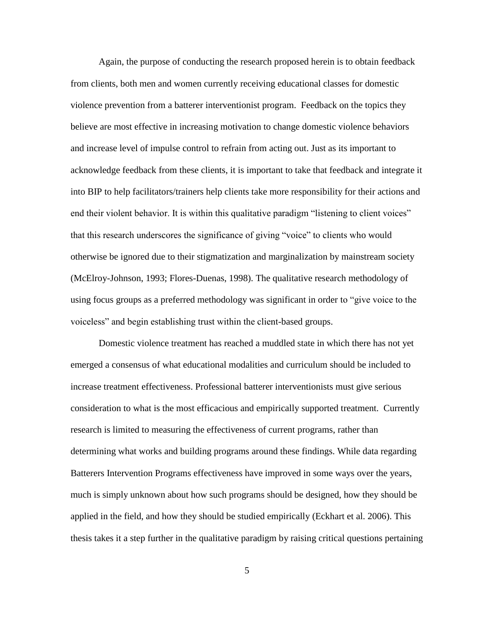Again, the purpose of conducting the research proposed herein is to obtain feedback from clients, both men and women currently receiving educational classes for domestic violence prevention from a batterer interventionist program. Feedback on the topics they believe are most effective in increasing motivation to change domestic violence behaviors and increase level of impulse control to refrain from acting out. Just as its important to acknowledge feedback from these clients, it is important to take that feedback and integrate it into BIP to help facilitators/trainers help clients take more responsibility for their actions and end their violent behavior. It is within this qualitative paradigm "listening to client voices" that this research underscores the significance of giving "voice" to clients who would otherwise be ignored due to their stigmatization and marginalization by mainstream society (McElroy-Johnson, 1993; Flores-Duenas, 1998). The qualitative research methodology of using focus groups as a preferred methodology was significant in order to "give voice to the voiceless" and begin establishing trust within the client-based groups.

Domestic violence treatment has reached a muddled state in which there has not yet emerged a consensus of what educational modalities and curriculum should be included to increase treatment effectiveness. Professional batterer interventionists must give serious consideration to what is the most efficacious and empirically supported treatment. Currently research is limited to measuring the effectiveness of current programs, rather than determining what works and building programs around these findings. While data regarding Batterers Intervention Programs effectiveness have improved in some ways over the years, much is simply unknown about how such programs should be designed, how they should be applied in the field, and how they should be studied empirically (Eckhart et al. 2006). This thesis takes it a step further in the qualitative paradigm by raising critical questions pertaining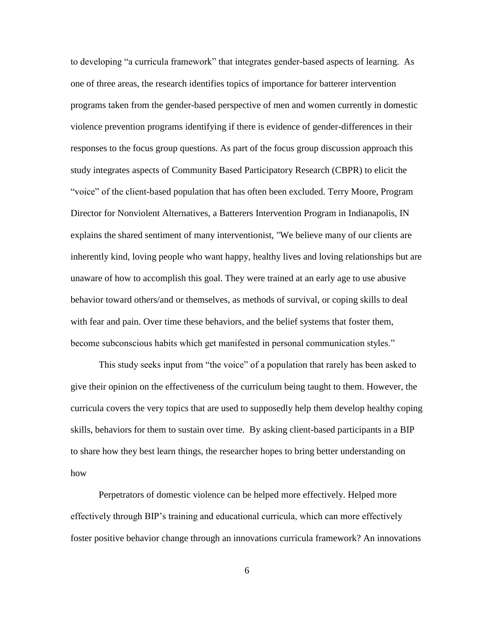to developing "a curricula framework" that integrates gender-based aspects of learning. As one of three areas, the research identifies topics of importance for batterer intervention programs taken from the gender-based perspective of men and women currently in domestic violence prevention programs identifying if there is evidence of gender-differences in their responses to the focus group questions. As part of the focus group discussion approach this study integrates aspects of Community Based Participatory Research (CBPR) to elicit the "voice" of the client-based population that has often been excluded. Terry Moore, Program Director for Nonviolent Alternatives, a Batterers Intervention Program in Indianapolis, IN explains the shared sentiment of many interventionist, "We believe many of our clients are inherently kind, loving people who want happy, healthy lives and loving relationships but are unaware of how to accomplish this goal. They were trained at an early age to use abusive behavior toward others/and or themselves, as methods of survival, or coping skills to deal with fear and pain. Over time these behaviors, and the belief systems that foster them, become subconscious habits which get manifested in personal communication styles."

This study seeks input from "the voice" of a population that rarely has been asked to give their opinion on the effectiveness of the curriculum being taught to them. However, the curricula covers the very topics that are used to supposedly help them develop healthy coping skills, behaviors for them to sustain over time. By asking client-based participants in a BIP to share how they best learn things, the researcher hopes to bring better understanding on how

Perpetrators of domestic violence can be helped more effectively. Helped more effectively through BIP"s training and educational curricula, which can more effectively foster positive behavior change through an innovations curricula framework? An innovations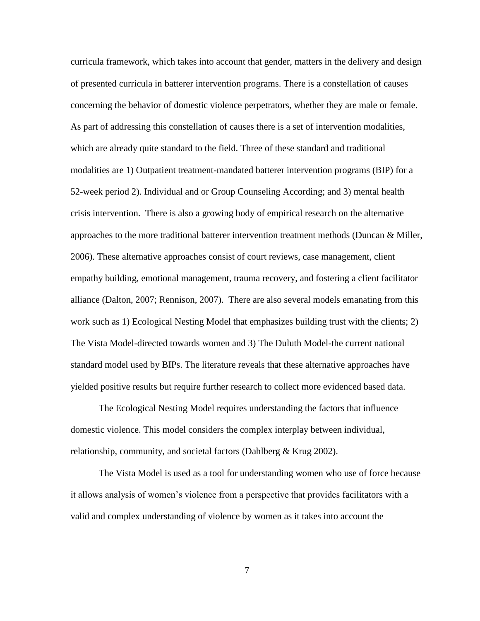curricula framework, which takes into account that gender, matters in the delivery and design of presented curricula in batterer intervention programs. There is a constellation of causes concerning the behavior of domestic violence perpetrators, whether they are male or female. As part of addressing this constellation of causes there is a set of intervention modalities, which are already quite standard to the field. Three of these standard and traditional modalities are 1) Outpatient treatment-mandated batterer intervention programs (BIP) for a 52-week period 2). Individual and or Group Counseling According; and 3) mental health crisis intervention. There is also a growing body of empirical research on the alternative approaches to the more traditional batterer intervention treatment methods (Duncan & Miller, 2006). These alternative approaches consist of court reviews, case management, client empathy building, emotional management, trauma recovery, and fostering a client facilitator alliance (Dalton, 2007; Rennison, 2007). There are also several models emanating from this work such as 1) Ecological Nesting Model that emphasizes building trust with the clients; 2) The Vista Model-directed towards women and 3) The Duluth Model-the current national standard model used by BIPs. The literature reveals that these alternative approaches have yielded positive results but require further research to collect more evidenced based data.

The Ecological Nesting Model requires understanding the factors that influence domestic violence. This model considers the complex interplay between individual, relationship, community, and societal factors (Dahlberg & Krug 2002).

The Vista Model is used as a tool for understanding women who use of force because it allows analysis of women"s violence from a perspective that provides facilitators with a valid and complex understanding of violence by women as it takes into account the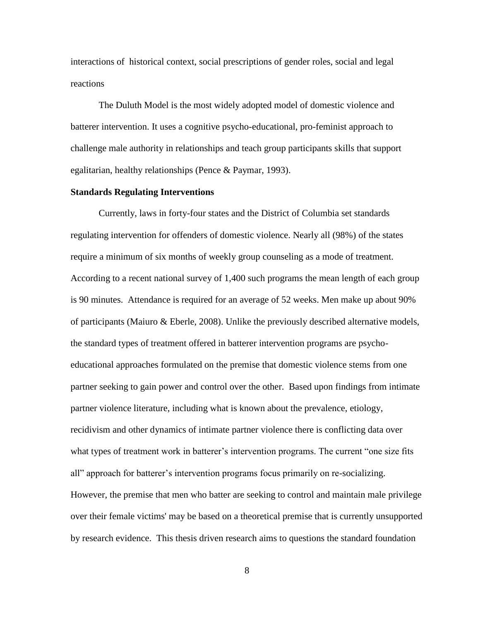interactions of historical context, social prescriptions of gender roles, social and legal reactions

The Duluth Model is the most widely adopted model of domestic violence and batterer intervention. It uses a cognitive psycho-educational, pro-feminist approach to challenge male authority in relationships and teach group participants skills that support egalitarian, healthy relationships (Pence & Paymar, 1993).

### <span id="page-16-0"></span>**Standards Regulating Interventions**

Currently, laws in forty-four states and the District of Columbia set standards regulating intervention for offenders of domestic violence. Nearly all (98%) of the states require a minimum of six months of weekly group counseling as a mode of treatment. According to a recent national survey of 1,400 such programs the mean length of each group is 90 minutes. Attendance is required for an average of 52 weeks. Men make up about 90% of participants (Maiuro & Eberle, 2008). Unlike the previously described alternative models, the standard types of treatment offered in batterer intervention programs are psychoeducational approaches formulated on the premise that domestic violence stems from one partner seeking to gain power and control over the other. Based upon findings from intimate partner violence literature, including what is known about the prevalence, etiology, recidivism and other dynamics of intimate partner violence there is conflicting data over what types of treatment work in batterer's intervention programs. The current "one size fits" all" approach for batterer's intervention programs focus primarily on re-socializing. However, the premise that men who batter are seeking to control and maintain male privilege over their female victims' may be based on a theoretical premise that is currently unsupported by research evidence. This thesis driven research aims to questions the standard foundation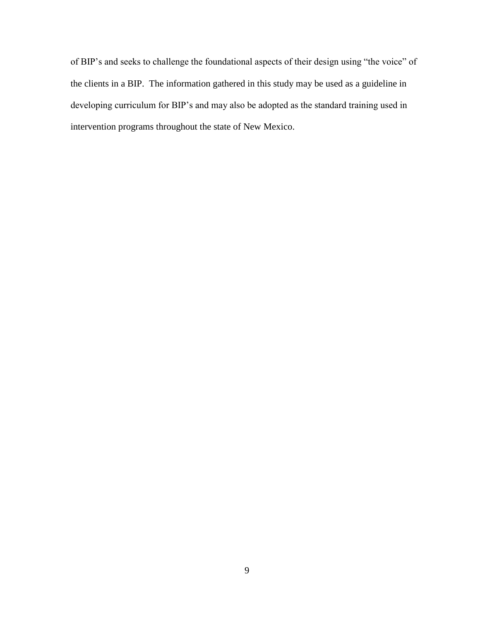of BIP"s and seeks to challenge the foundational aspects of their design using "the voice" of the clients in a BIP. The information gathered in this study may be used as a guideline in developing curriculum for BIP"s and may also be adopted as the standard training used in intervention programs throughout the state of New Mexico.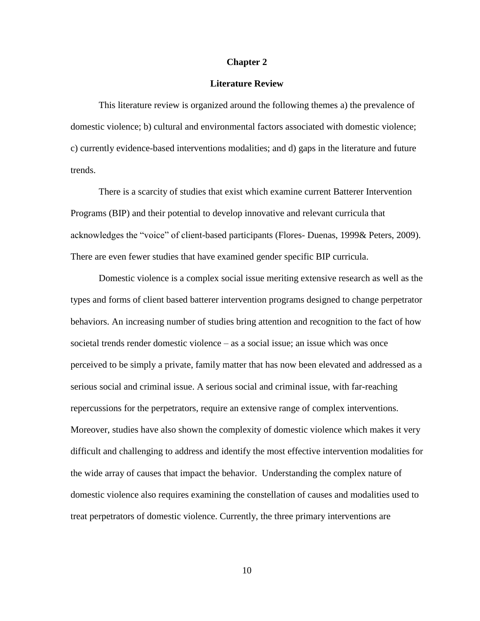### **Chapter 2**

### **Literature Review**

<span id="page-18-0"></span>This literature review is organized around the following themes a) the prevalence of domestic violence; b) cultural and environmental factors associated with domestic violence; c) currently evidence-based interventions modalities; and d) gaps in the literature and future trends.

There is a scarcity of studies that exist which examine current Batterer Intervention Programs (BIP) and their potential to develop innovative and relevant curricula that acknowledges the "voice" of client-based participants (Flores- Duenas, 1999& Peters, 2009). There are even fewer studies that have examined gender specific BIP curricula.

Domestic violence is a complex social issue meriting extensive research as well as the types and forms of client based batterer intervention programs designed to change perpetrator behaviors. An increasing number of studies bring attention and recognition to the fact of how societal trends render domestic violence – as a social issue; an issue which was once perceived to be simply a private, family matter that has now been elevated and addressed as a serious social and criminal issue. A serious social and criminal issue, with far-reaching repercussions for the perpetrators, require an extensive range of complex interventions. Moreover, studies have also shown the complexity of domestic violence which makes it very difficult and challenging to address and identify the most effective intervention modalities for the wide array of causes that impact the behavior. Understanding the complex nature of domestic violence also requires examining the constellation of causes and modalities used to treat perpetrators of domestic violence. Currently, the three primary interventions are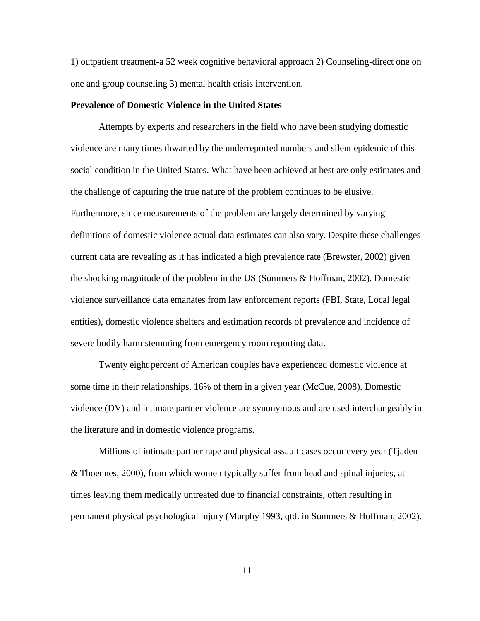1) outpatient treatment-a 52 week cognitive behavioral approach 2) Counseling-direct one on one and group counseling 3) mental health crisis intervention.

### <span id="page-19-0"></span>**Prevalence of Domestic Violence in the United States**

Attempts by experts and researchers in the field who have been studying domestic violence are many times thwarted by the underreported numbers and silent epidemic of this social condition in the United States. What have been achieved at best are only estimates and the challenge of capturing the true nature of the problem continues to be elusive. Furthermore, since measurements of the problem are largely determined by varying definitions of domestic violence actual data estimates can also vary. Despite these challenges current data are revealing as it has indicated a high prevalence rate (Brewster, 2002) given the shocking magnitude of the problem in the US (Summers & Hoffman, 2002). Domestic violence surveillance data emanates from law enforcement reports (FBI, State, Local legal entities), domestic violence shelters and estimation records of prevalence and incidence of severe bodily harm stemming from emergency room reporting data.

Twenty eight percent of American couples have experienced domestic violence at some time in their relationships, 16% of them in a given year (McCue, 2008). Domestic violence (DV) and intimate partner violence are synonymous and are used interchangeably in the literature and in domestic violence programs.

Millions of intimate partner rape and physical assault cases occur every year (Tjaden & Thoennes, 2000), from which women typically suffer from head and spinal injuries, at times leaving them medically untreated due to financial constraints, often resulting in permanent physical psychological injury (Murphy 1993, qtd. in Summers & Hoffman, 2002).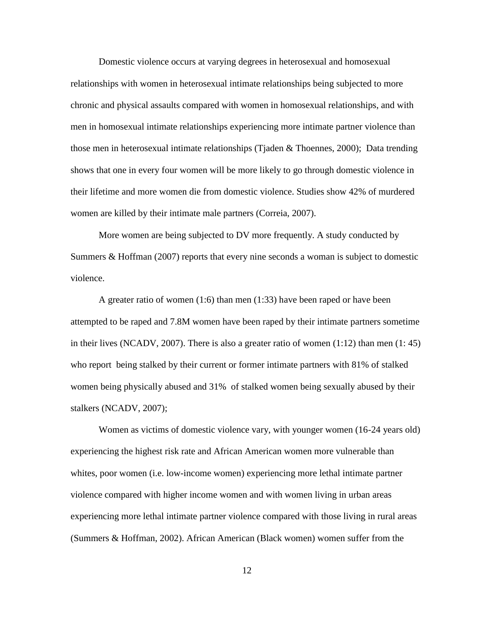Domestic violence occurs at varying degrees in heterosexual and homosexual relationships with women in heterosexual intimate relationships being subjected to more chronic and physical assaults compared with women in homosexual relationships, and with men in homosexual intimate relationships experiencing more intimate partner violence than those men in heterosexual intimate relationships (Tjaden & Thoennes, 2000); Data trending shows that one in every four women will be more likely to go through domestic violence in their lifetime and more women die from domestic violence. Studies show 42% of murdered women are killed by their intimate male partners (Correia, 2007).

More women are being subjected to DV more frequently. A study conducted by Summers & Hoffman (2007) reports that every nine seconds a woman is subject to domestic violence.

A greater ratio of women (1:6) than men (1:33) have been raped or have been attempted to be raped and 7.8M women have been raped by their intimate partners sometime in their lives (NCADV, 2007). There is also a greater ratio of women  $(1:12)$  than men  $(1:45)$ who report being stalked by their current or former intimate partners with 81% of stalked women being physically abused and 31% of stalked women being sexually abused by their stalkers (NCADV, 2007);

Women as victims of domestic violence vary, with younger women (16-24 years old) experiencing the highest risk rate and African American women more vulnerable than whites, poor women (i.e. low-income women) experiencing more lethal intimate partner violence compared with higher income women and with women living in urban areas experiencing more lethal intimate partner violence compared with those living in rural areas (Summers & Hoffman, 2002). African American (Black women) women suffer from the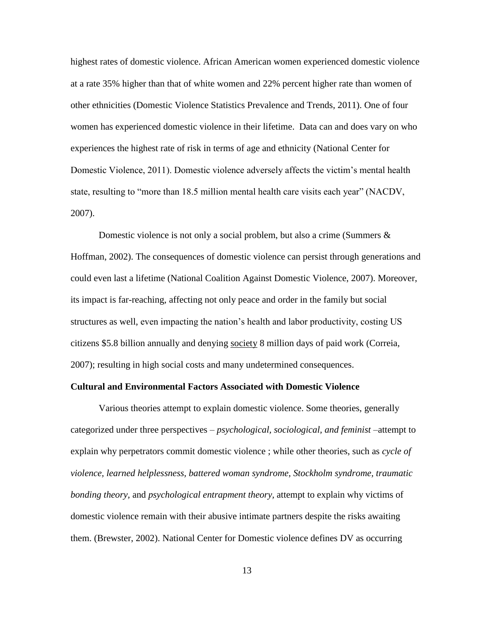highest rates of domestic violence. African American women experienced domestic violence at a rate 35% higher than that of white women and 22% percent higher rate than women of other ethnicities (Domestic Violence Statistics Prevalence and Trends, 2011). One of four women has experienced domestic violence in their lifetime. Data can and does vary on who experiences the highest rate of risk in terms of age and ethnicity (National Center for Domestic Violence, 2011). Domestic violence adversely affects the victim's mental health state, resulting to "more than 18.5 million mental health care visits each year" (NACDV, 2007).

Domestic violence is not only a social problem, but also a crime (Summers & Hoffman, 2002). The consequences of domestic violence can persist through generations and could even last a lifetime (National Coalition Against Domestic Violence, 2007). Moreover, its impact is far-reaching, affecting not only peace and order in the family but social structures as well, even impacting the nation"s health and labor productivity, costing US citizens \$5.8 billion annually and denying society 8 million days of paid work (Correia, 2007); resulting in high social costs and many undetermined consequences.

### <span id="page-21-0"></span>**Cultural and Environmental Factors Associated with Domestic Violence**

Various theories attempt to explain domestic violence. Some theories, generally categorized under three perspectives – *psychological, sociological, and feminist* –attempt to explain why perpetrators commit domestic violence ; while other theories, such as *cycle of violence, learned helplessness, battered woman syndrome, Stockholm syndrome, traumatic bonding theory,* and *psychological entrapment theory,* attempt to explain why victims of domestic violence remain with their abusive intimate partners despite the risks awaiting them. (Brewster, 2002). National Center for Domestic violence defines DV as occurring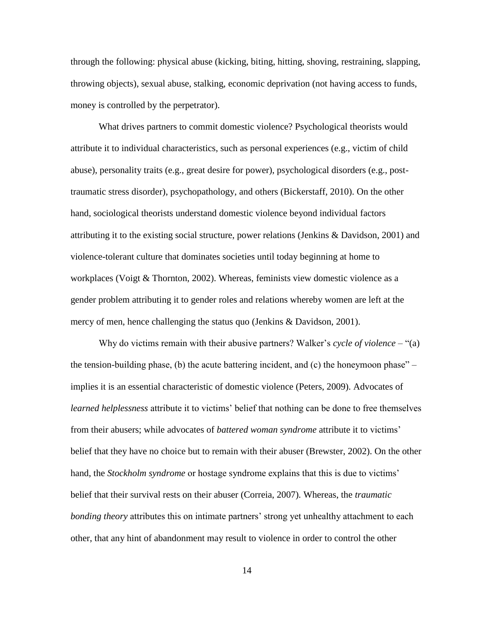through the following: physical abuse (kicking, biting, hitting, shoving, restraining, slapping, throwing objects), sexual abuse, stalking, economic deprivation (not having access to funds, money is controlled by the perpetrator).

What drives partners to commit domestic violence? Psychological theorists would attribute it to individual characteristics, such as personal experiences (e.g., victim of child abuse), personality traits (e.g., great desire for power), psychological disorders (e.g., posttraumatic stress disorder), psychopathology, and others (Bickerstaff, 2010). On the other hand, sociological theorists understand domestic violence beyond individual factors attributing it to the existing social structure, power relations (Jenkins & Davidson, 2001) and violence-tolerant culture that dominates societies until today beginning at home to workplaces (Voigt & Thornton, 2002). Whereas, feminists view domestic violence as a gender problem attributing it to gender roles and relations whereby women are left at the mercy of men, hence challenging the status quo (Jenkins & Davidson, 2001).

Why do victims remain with their abusive partners? Walker's *cycle of violence* – "(a) the tension-building phase, (b) the acute battering incident, and (c) the honeymoon phase" – implies it is an essential characteristic of domestic violence (Peters, 2009). Advocates of *learned helplessness* attribute it to victims" belief that nothing can be done to free themselves from their abusers; while advocates of *battered woman syndrome* attribute it to victims" belief that they have no choice but to remain with their abuser (Brewster, 2002). On the other hand, the *Stockholm syndrome* or hostage syndrome explains that this is due to victims" belief that their survival rests on their abuser (Correia, 2007). Whereas, the *traumatic bonding theory* attributes this on intimate partners' strong yet unhealthy attachment to each other, that any hint of abandonment may result to violence in order to control the other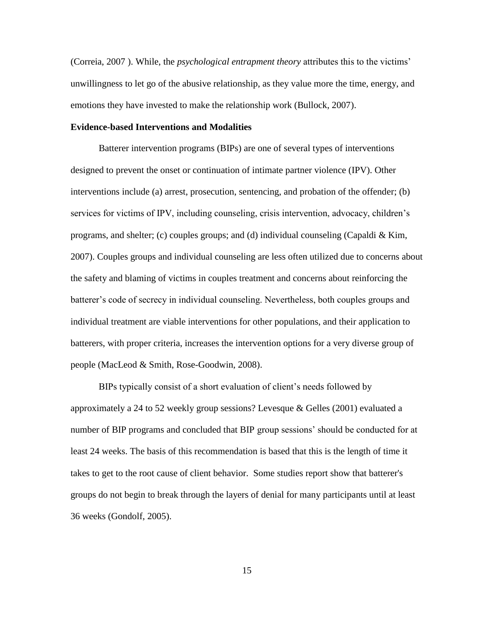(Correia, 2007 ). While, the *psychological entrapment theory* attributes this to the victims" unwillingness to let go of the abusive relationship, as they value more the time, energy, and emotions they have invested to make the relationship work (Bullock, 2007).

### <span id="page-23-0"></span>**Evidence-based Interventions and Modalities**

Batterer intervention programs (BIPs) are one of several types of interventions designed to prevent the onset or continuation of intimate partner violence (IPV). Other interventions include (a) arrest, prosecution, sentencing, and probation of the offender; (b) services for victims of IPV, including counseling, crisis intervention, advocacy, children"s programs, and shelter; (c) couples groups; and (d) individual counseling (Capaldi & Kim, 2007). Couples groups and individual counseling are less often utilized due to concerns about the safety and blaming of victims in couples treatment and concerns about reinforcing the batterer"s code of secrecy in individual counseling. Nevertheless, both couples groups and individual treatment are viable interventions for other populations, and their application to batterers, with proper criteria, increases the intervention options for a very diverse group of people (MacLeod & Smith, Rose-Goodwin, 2008).

BIPs typically consist of a short evaluation of client"s needs followed by approximately a 24 to 52 weekly group sessions? Levesque & Gelles (2001) evaluated a number of BIP programs and concluded that BIP group sessions" should be conducted for at least 24 weeks. The basis of this recommendation is based that this is the length of time it takes to get to the root cause of client behavior. Some studies report show that batterer's groups do not begin to break through the layers of denial for many participants until at least 36 weeks (Gondolf, 2005).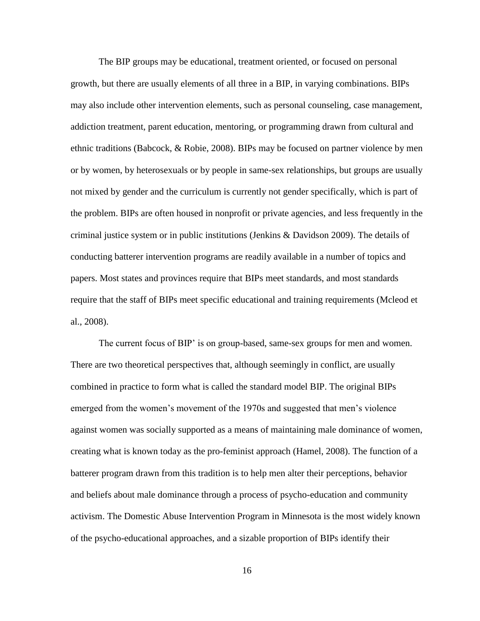The BIP groups may be educational, treatment oriented, or focused on personal growth, but there are usually elements of all three in a BIP, in varying combinations. BIPs may also include other intervention elements, such as personal counseling, case management, addiction treatment, parent education, mentoring, or programming drawn from cultural and ethnic traditions (Babcock, & Robie, 2008). BIPs may be focused on partner violence by men or by women, by heterosexuals or by people in same-sex relationships, but groups are usually not mixed by gender and the curriculum is currently not gender specifically, which is part of the problem. BIPs are often housed in nonprofit or private agencies, and less frequently in the criminal justice system or in public institutions (Jenkins & Davidson 2009). The details of conducting batterer intervention programs are readily available in a number of topics and papers. Most states and provinces require that BIPs meet standards, and most standards require that the staff of BIPs meet specific educational and training requirements (Mcleod et al., 2008).

The current focus of BIP" is on group-based, same-sex groups for men and women. There are two theoretical perspectives that, although seemingly in conflict, are usually combined in practice to form what is called the standard model BIP. The original BIPs emerged from the women"s movement of the 1970s and suggested that men"s violence against women was socially supported as a means of maintaining male dominance of women, creating what is known today as the pro-feminist approach (Hamel, 2008). The function of a batterer program drawn from this tradition is to help men alter their perceptions, behavior and beliefs about male dominance through a process of psycho-education and community activism. The Domestic Abuse Intervention Program in Minnesota is the most widely known of the psycho-educational approaches, and a sizable proportion of BIPs identify their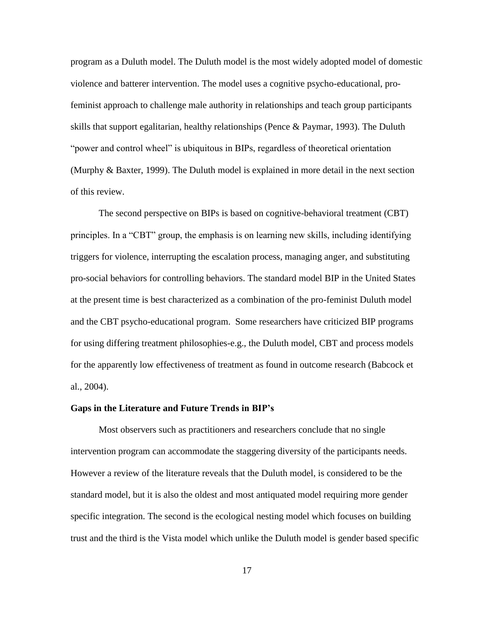program as a Duluth model. The Duluth model is the most widely adopted model of domestic violence and batterer intervention. The model uses a cognitive psycho-educational, profeminist approach to challenge male authority in relationships and teach group participants skills that support egalitarian, healthy relationships (Pence & Paymar, 1993). The Duluth "power and control wheel" is ubiquitous in BIPs, regardless of theoretical orientation (Murphy & Baxter, 1999). The Duluth model is explained in more detail in the next section of this review.

The second perspective on BIPs is based on cognitive-behavioral treatment (CBT) principles. In a "CBT" group, the emphasis is on learning new skills, including identifying triggers for violence, interrupting the escalation process, managing anger, and substituting pro-social behaviors for controlling behaviors. The standard model BIP in the United States at the present time is best characterized as a combination of the pro-feminist Duluth model and the CBT psycho-educational program. Some researchers have criticized BIP programs for using differing treatment philosophies-e.g., the Duluth model, CBT and process models for the apparently low effectiveness of treatment as found in outcome research (Babcock et al., 2004).

### <span id="page-25-0"></span>**Gaps in the Literature and Future Trends in BIP's**

Most observers such as practitioners and researchers conclude that no single intervention program can accommodate the staggering diversity of the participants needs. However a review of the literature reveals that the Duluth model, is considered to be the standard model, but it is also the oldest and most antiquated model requiring more gender specific integration. The second is the ecological nesting model which focuses on building trust and the third is the Vista model which unlike the Duluth model is gender based specific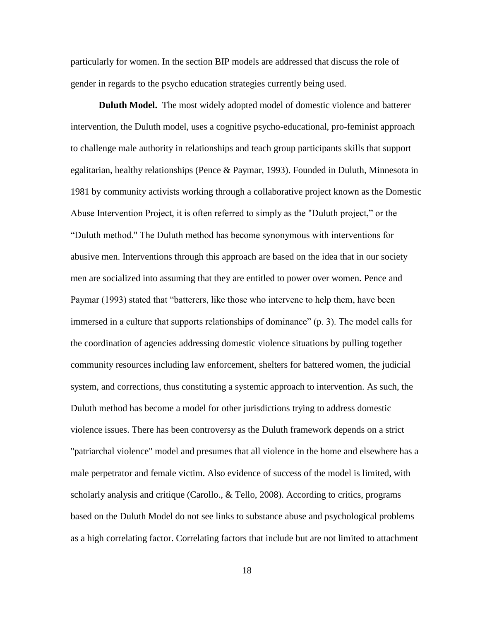particularly for women. In the section BIP models are addressed that discuss the role of gender in regards to the psycho education strategies currently being used.

<span id="page-26-0"></span>**Duluth Model.** The most widely adopted model of domestic violence and batterer intervention, the Duluth model, uses a cognitive psycho-educational, pro-feminist approach to challenge male authority in relationships and teach group participants skills that support egalitarian, healthy relationships (Pence & Paymar, 1993). Founded in Duluth, Minnesota in 1981 by community activists working through a collaborative project known as the Domestic Abuse Intervention Project, it is often referred to simply as the "Duluth project," or the "Duluth method." The Duluth method has become synonymous with interventions for abusive men. Interventions through this approach are based on the idea that in our society men are socialized into assuming that they are entitled to power over women. Pence and Paymar (1993) stated that "batterers, like those who intervene to help them, have been immersed in a culture that supports relationships of dominance" (p. 3). The model calls for the coordination of agencies addressing domestic violence situations by pulling together community resources including law enforcement, shelters for battered women, the judicial system, and corrections, thus constituting a systemic approach to intervention. As such, the Duluth method has become a model for other jurisdictions trying to address domestic violence issues. There has been controversy as the Duluth framework depends on a strict "patriarchal violence" model and presumes that all violence in the home and elsewhere has a male perpetrator and female victim. Also evidence of success of the model is limited, with scholarly analysis and critique (Carollo., & Tello, 2008). According to critics, programs based on the Duluth Model do not see links to substance abuse and psychological problems as a high correlating factor. Correlating factors that include but are not limited to attachment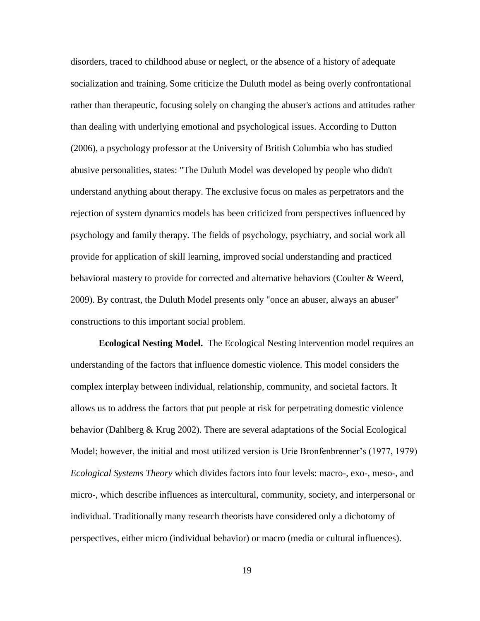disorders, traced to childhood abuse or neglect, or the absence of a history of adequate socialization and training. Some criticize the Duluth model as being overly confrontational rather than therapeutic, focusing solely on changing the abuser's actions and attitudes rather than dealing with underlying emotional and psychological issues. According to Dutton (2006), a psychology professor at the University of British Columbia who has studied abusive personalities, states: "The Duluth Model was developed by people who didn't understand anything about therapy. The exclusive focus on males as perpetrators and the rejection of system dynamics models has been criticized from perspectives influenced by psychology and family therapy. The fields of psychology, psychiatry, and social work all provide for application of skill learning, improved social understanding and practiced behavioral mastery to provide for corrected and alternative behaviors (Coulter & Weerd, 2009). By contrast, the Duluth Model presents only "once an abuser, always an abuser" constructions to this important social problem.

<span id="page-27-0"></span>**Ecological Nesting Model.** The Ecological Nesting intervention model requires an understanding of the factors that influence domestic violence. This model considers the complex interplay between individual, relationship, community, and societal factors. It allows us to address the factors that put people at risk for perpetrating domestic violence behavior (Dahlberg & Krug 2002). There are several adaptations of the Social Ecological Model; however, the initial and most utilized version is Urie Bronfenbrenner"s (1977, 1979) *Ecological Systems Theory* which divides factors into four levels: macro-, exo-, meso-, and micro-, which describe influences as intercultural, community, society, and interpersonal or individual. Traditionally many research theorists have considered only a dichotomy of perspectives, either micro (individual behavior) or macro (media or cultural influences).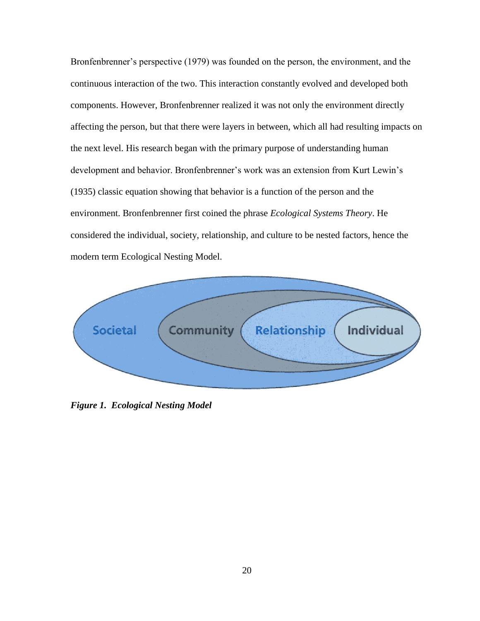Bronfenbrenner's perspective (1979) was founded on the person, the environment, and the continuous interaction of the two. This interaction constantly evolved and developed both components. However, Bronfenbrenner realized it was not only the environment directly affecting the person, but that there were layers in between, which all had resulting impacts on the next level. His research began with the primary purpose of understanding human development and behavior. Bronfenbrenner's work was an extension from Kurt Lewin's (1935) classic equation showing that behavior is a function of the person and the environment. Bronfenbrenner first coined the phrase *Ecological Systems Theory*. He considered the individual, society, relationship, and culture to be nested factors, hence the modern term Ecological Nesting Model.

<span id="page-28-0"></span>

*Figure 1. Ecological Nesting Model*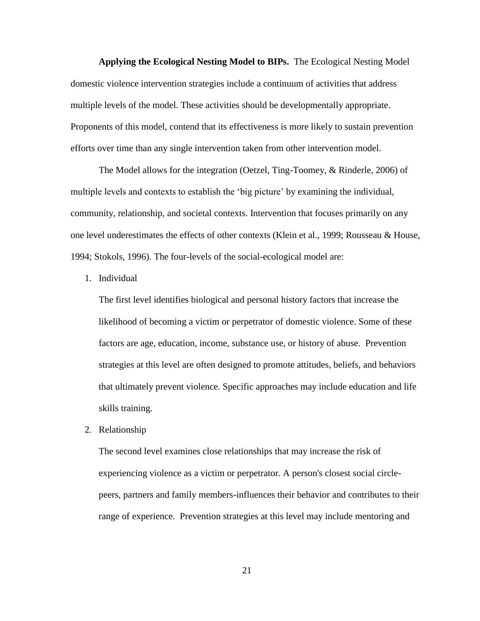<span id="page-29-0"></span>**Applying the Ecological Nesting Model to BIPs.** The Ecological Nesting Model domestic violence intervention strategies include a continuum of activities that address multiple levels of the model. These activities should be developmentally appropriate. Proponents of this model, contend that its effectiveness is more likely to sustain prevention efforts over time than any single intervention taken from other intervention model.

The Model allows for the integration (Oetzel, Ting-Toomey, & Rinderle, 2006) of multiple levels and contexts to establish the 'big picture' by examining the individual, community, relationship, and societal contexts. Intervention that focuses primarily on any one level underestimates the effects of other contexts (Klein et al., 1999; Rousseau & House, 1994; Stokols, 1996). The four-levels of the social-ecological model are:

1. Individual

The first level identifies biological and personal history factors that increase the likelihood of becoming a victim or perpetrator of domestic violence. Some of these factors are age, education, income, substance use, or history of abuse. Prevention strategies at this level are often designed to promote attitudes, beliefs, and behaviors that ultimately prevent violence. Specific approaches may include education and life skills training.

2. Relationship

The second level examines close relationships that may increase the risk of experiencing violence as a victim or perpetrator. A person's closest social circlepeers, partners and family members-influences their behavior and contributes to their range of experience. Prevention strategies at this level may include mentoring and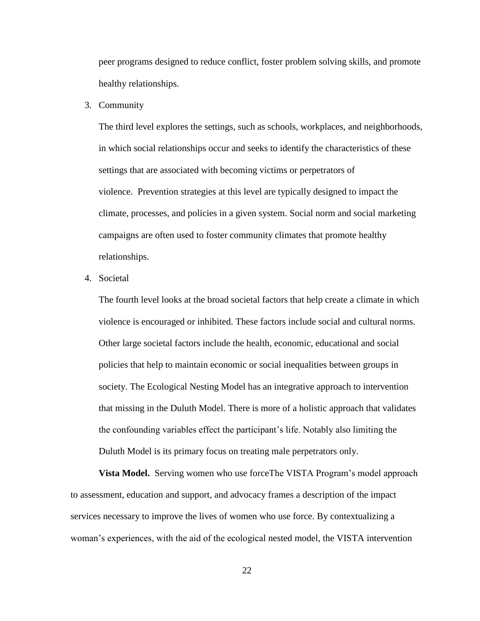peer programs designed to reduce conflict, foster problem solving skills, and promote healthy relationships.

3. Community

The third level explores the settings, such as schools, workplaces, and neighborhoods, in which social relationships occur and seeks to identify the characteristics of these settings that are associated with becoming victims or perpetrators of violence. Prevention strategies at this level are typically designed to impact the climate, processes, and policies in a given system. Social norm and social marketing campaigns are often used to foster community climates that promote healthy relationships.

4. Societal

The fourth level looks at the broad societal factors that help create a climate in which violence is encouraged or inhibited. These factors include social and cultural norms. Other large societal factors include the health, economic, educational and social policies that help to maintain economic or social inequalities between groups in society. The Ecological Nesting Model has an integrative approach to intervention that missing in the Duluth Model. There is more of a holistic approach that validates the confounding variables effect the participant"s life. Notably also limiting the Duluth Model is its primary focus on treating male perpetrators only.

<span id="page-30-0"></span>**Vista Model.** Serving women who use forceThe VISTA Program's model approach to assessment, education and support, and advocacy frames a description of the impact services necessary to improve the lives of women who use force. By contextualizing a woman"s experiences, with the aid of the ecological nested model, the VISTA intervention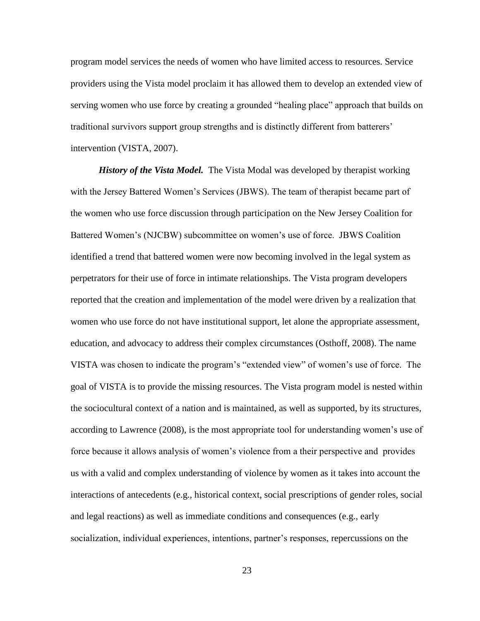program model services the needs of women who have limited access to resources. Service providers using the Vista model proclaim it has allowed them to develop an extended view of serving women who use force by creating a grounded "healing place" approach that builds on traditional survivors support group strengths and is distinctly different from batterers" intervention (VISTA, 2007).

*History of the Vista Model.* The Vista Modal was developed by therapist working with the Jersey Battered Women's Services (JBWS). The team of therapist became part of the women who use force discussion through participation on the New Jersey Coalition for Battered Women"s (NJCBW) subcommittee on women"s use of force. JBWS Coalition identified a trend that battered women were now becoming involved in the legal system as perpetrators for their use of force in intimate relationships. The Vista program developers reported that the creation and implementation of the model were driven by a realization that women who use force do not have institutional support, let alone the appropriate assessment, education, and advocacy to address their complex circumstances (Osthoff, 2008). The name VISTA was chosen to indicate the program"s "extended view" of women"s use of force. The goal of VISTA is to provide the missing resources. The Vista program model is nested within the sociocultural context of a nation and is maintained, as well as supported, by its structures, according to Lawrence (2008), is the most appropriate tool for understanding women"s use of force because it allows analysis of women's violence from a their perspective and provides us with a valid and complex understanding of violence by women as it takes into account the interactions of antecedents (e.g., historical context, social prescriptions of gender roles, social and legal reactions) as well as immediate conditions and consequences (e.g., early socialization, individual experiences, intentions, partner"s responses, repercussions on the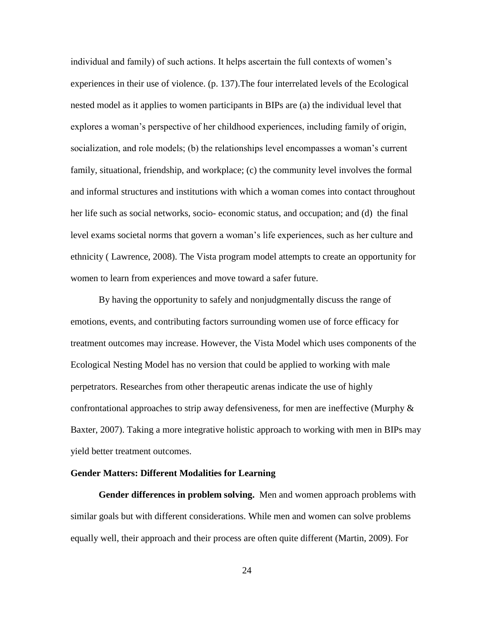individual and family) of such actions. It helps ascertain the full contexts of women"s experiences in their use of violence. (p. 137).The four interrelated levels of the Ecological nested model as it applies to women participants in BIPs are (a) the individual level that explores a woman"s perspective of her childhood experiences, including family of origin, socialization, and role models; (b) the relationships level encompasses a woman"s current family, situational, friendship, and workplace; (c) the community level involves the formal and informal structures and institutions with which a woman comes into contact throughout her life such as social networks, socio- economic status, and occupation; and (d) the final level exams societal norms that govern a woman"s life experiences, such as her culture and ethnicity ( Lawrence, 2008). The Vista program model attempts to create an opportunity for women to learn from experiences and move toward a safer future.

By having the opportunity to safely and nonjudgmentally discuss the range of emotions, events, and contributing factors surrounding women use of force efficacy for treatment outcomes may increase. However, the Vista Model which uses components of the Ecological Nesting Model has no version that could be applied to working with male perpetrators. Researches from other therapeutic arenas indicate the use of highly confrontational approaches to strip away defensiveness, for men are ineffective (Murphy  $\&$ Baxter, 2007). Taking a more integrative holistic approach to working with men in BIPs may yield better treatment outcomes.

### <span id="page-32-0"></span>**Gender Matters: Different Modalities for Learning**

<span id="page-32-1"></span>**Gender differences in problem solving.** Men and women approach problems with similar goals but with different considerations. While men and women can solve problems equally well, their approach and their process are often quite different (Martin, 2009). For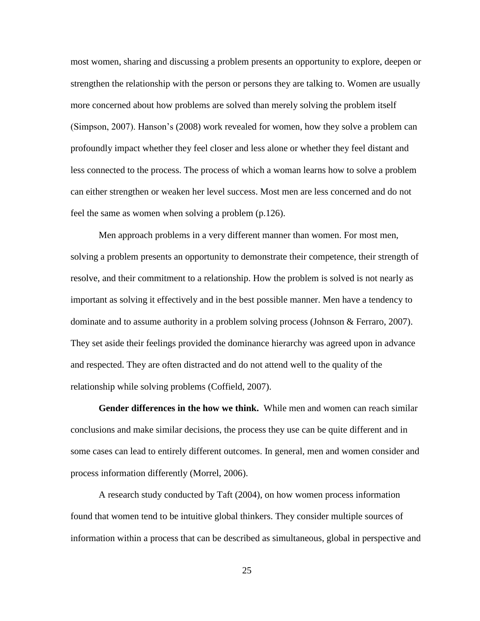most women, sharing and discussing a problem presents an opportunity to explore, deepen or strengthen the relationship with the person or persons they are talking to. Women are usually more concerned about how problems are solved than merely solving the problem itself (Simpson, 2007). Hanson"s (2008) work revealed for women, how they solve a problem can profoundly impact whether they feel closer and less alone or whether they feel distant and less connected to the process. The process of which a woman learns how to solve a problem can either strengthen or weaken her level success. Most men are less concerned and do not feel the same as women when solving a problem (p.126).

Men approach problems in a very different manner than women. For most men, solving a problem presents an opportunity to demonstrate their competence, their strength of resolve, and their commitment to a relationship. How the problem is solved is not nearly as important as solving it effectively and in the best possible manner. Men have a tendency to dominate and to assume authority in a problem solving process (Johnson & Ferraro, 2007). They set aside their feelings provided the dominance hierarchy was agreed upon in advance and respected. They are often distracted and do not attend well to the quality of the relationship while solving problems (Coffield, 2007).

<span id="page-33-0"></span>**Gender differences in the how we think.** While men and women can reach similar conclusions and make similar decisions, the process they use can be quite different and in some cases can lead to entirely different outcomes. In general, men and women consider and process information differently (Morrel, 2006).

A research study conducted by Taft (2004), on how women process information found that women tend to be intuitive global thinkers. They consider multiple sources of information within a process that can be described as simultaneous, global in perspective and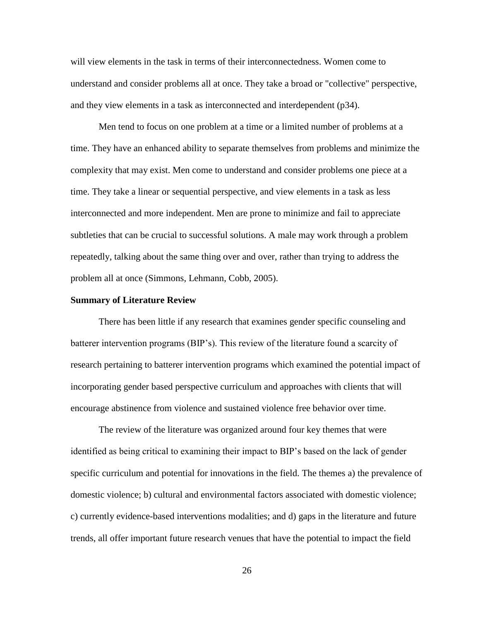will view elements in the task in terms of their interconnectedness. Women come to understand and consider problems all at once. They take a broad or "collective" perspective, and they view elements in a task as interconnected and interdependent (p34).

Men tend to focus on one problem at a time or a limited number of problems at a time. They have an enhanced ability to separate themselves from problems and minimize the complexity that may exist. Men come to understand and consider problems one piece at a time. They take a linear or sequential perspective, and view elements in a task as less interconnected and more independent. Men are prone to minimize and fail to appreciate subtleties that can be crucial to successful solutions. A male may work through a problem repeatedly, talking about the same thing over and over, rather than trying to address the problem all at once (Simmons, Lehmann, Cobb, 2005).

### <span id="page-34-0"></span>**Summary of Literature Review**

There has been little if any research that examines gender specific counseling and batterer intervention programs (BIP"s). This review of the literature found a scarcity of research pertaining to batterer intervention programs which examined the potential impact of incorporating gender based perspective curriculum and approaches with clients that will encourage abstinence from violence and sustained violence free behavior over time.

The review of the literature was organized around four key themes that were identified as being critical to examining their impact to BIP"s based on the lack of gender specific curriculum and potential for innovations in the field. The themes a) the prevalence of domestic violence; b) cultural and environmental factors associated with domestic violence; c) currently evidence-based interventions modalities; and d) gaps in the literature and future trends, all offer important future research venues that have the potential to impact the field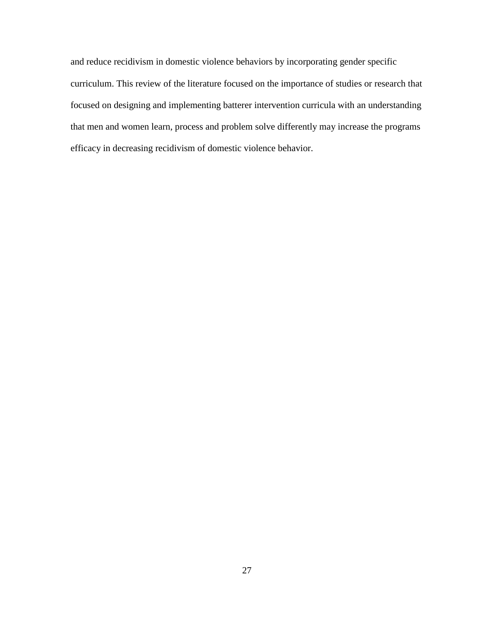and reduce recidivism in domestic violence behaviors by incorporating gender specific curriculum. This review of the literature focused on the importance of studies or research that focused on designing and implementing batterer intervention curricula with an understanding that men and women learn, process and problem solve differently may increase the programs efficacy in decreasing recidivism of domestic violence behavior.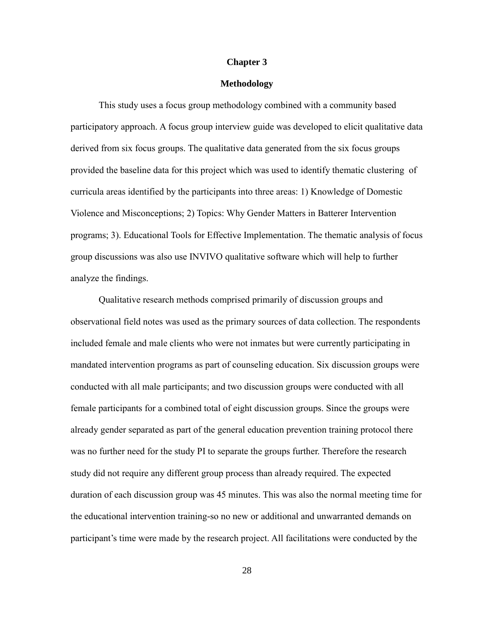#### **Chapter 3**

### **Methodology**

This study uses a focus group methodology combined with a community based participatory approach. A focus group interview guide was developed to elicit qualitative data derived from six focus groups. The qualitative data generated from the six focus groups provided the baseline data for this project which was used to identify thematic clustering of curricula areas identified by the participants into three areas: 1) Knowledge of Domestic Violence and Misconceptions; 2) Topics: Why Gender Matters in Batterer Intervention programs; 3). Educational Tools for Effective Implementation. The thematic analysis of focus group discussions was also use INVIVO qualitative software which will help to further analyze the findings.

Qualitative research methods comprised primarily of discussion groups and observational field notes was used as the primary sources of data collection. The respondents included female and male clients who were not inmates but were currently participating in mandated intervention programs as part of counseling education. Six discussion groups were conducted with all male participants; and two discussion groups were conducted with all female participants for a combined total of eight discussion groups. Since the groups were already gender separated as part of the general education prevention training protocol there was no further need for the study PI to separate the groups further. Therefore the research study did not require any different group process than already required. The expected duration of each discussion group was 45 minutes. This was also the normal meeting time for the educational intervention training-so no new or additional and unwarranted demands on participant"s time were made by the research project. All facilitations were conducted by the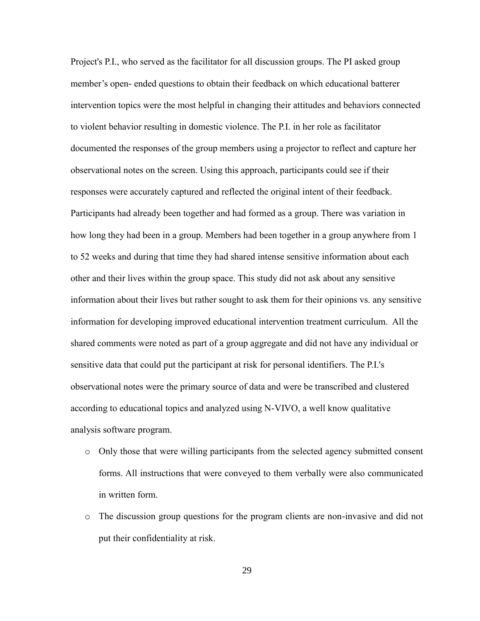Project's P.I., who served as the facilitator for all discussion groups. The PI asked group member's open- ended questions to obtain their feedback on which educational batterer intervention topics were the most helpful in changing their attitudes and behaviors connected to violent behavior resulting in domestic violence. The P.I. in her role as facilitator documented the responses of the group members using a projector to reflect and capture her observational notes on the screen. Using this approach, participants could see if their responses were accurately captured and reflected the original intent of their feedback. Participants had already been together and had formed as a group. There was variation in how long they had been in a group. Members had been together in a group anywhere from 1 to 52 weeks and during that time they had shared intense sensitive information about each other and their lives within the group space. This study did not ask about any sensitive information about their lives but rather sought to ask them for their opinions vs. any sensitive information for developing improved educational intervention treatment curriculum. All the shared comments were noted as part of a group aggregate and did not have any individual or sensitive data that could put the participant at risk for personal identifiers. The P.I.'s observational notes were the primary source of data and were be transcribed and clustered according to educational topics and analyzed using N-VIVO, a well know qualitative analysis software program.

- o Only those that were willing participants from the selected agency submitted consent forms. All instructions that were conveyed to them verbally were also communicated in written form.
- o The discussion group questions for the program clients are non-invasive and did not put their confidentiality at risk.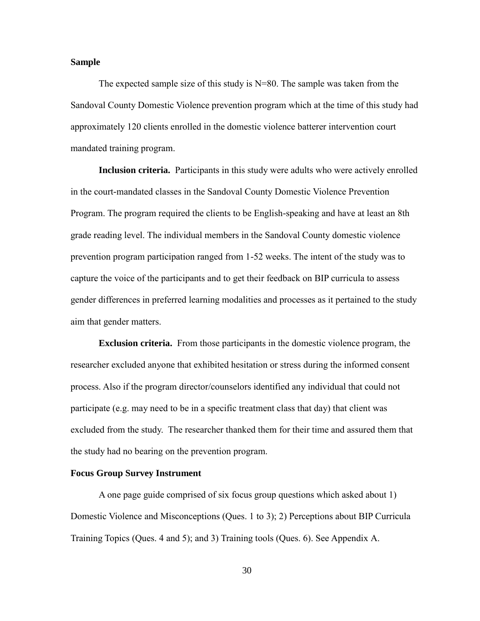### **Sample**

The expected sample size of this study is  $N=80$ . The sample was taken from the Sandoval County Domestic Violence prevention program which at the time of this study had approximately 120 clients enrolled in the domestic violence batterer intervention court mandated training program.

**Inclusion criteria.** Participants in this study were adults who were actively enrolled in the court-mandated classes in the Sandoval County Domestic Violence Prevention Program. The program required the clients to be English-speaking and have at least an 8th grade reading level. The individual members in the Sandoval County domestic violence prevention program participation ranged from 1-52 weeks. The intent of the study was to capture the voice of the participants and to get their feedback on BIP curricula to assess gender differences in preferred learning modalities and processes as it pertained to the study aim that gender matters.

**Exclusion criteria.** From those participants in the domestic violence program, the researcher excluded anyone that exhibited hesitation or stress during the informed consent process. Also if the program director/counselors identified any individual that could not participate (e.g. may need to be in a specific treatment class that day) that client was excluded from the study. The researcher thanked them for their time and assured them that the study had no bearing on the prevention program.

## **Focus Group Survey Instrument**

A one page guide comprised of six focus group questions which asked about 1) Domestic Violence and Misconceptions (Ques. 1 to 3); 2) Perceptions about BIP Curricula Training Topics (Ques. 4 and 5); and 3) Training tools (Ques. 6). See Appendix A.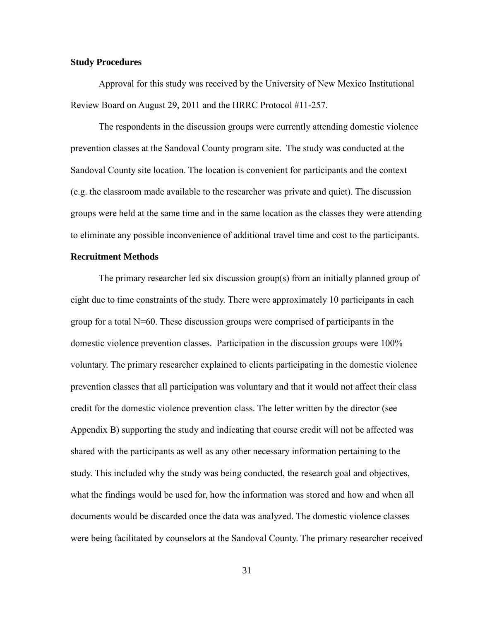### **Study Procedures**

Approval for this study was received by the University of New Mexico Institutional Review Board on August 29, 2011 and the HRRC Protocol #11-257.

The respondents in the discussion groups were currently attending domestic violence prevention classes at the Sandoval County program site. The study was conducted at the Sandoval County site location. The location is convenient for participants and the context (e.g. the classroom made available to the researcher was private and quiet). The discussion groups were held at the same time and in the same location as the classes they were attending to eliminate any possible inconvenience of additional travel time and cost to the participants.

## **Recruitment Methods**

The primary researcher led six discussion group(s) from an initially planned group of eight due to time constraints of the study. There were approximately 10 participants in each group for a total N=60. These discussion groups were comprised of participants in the domestic violence prevention classes. Participation in the discussion groups were 100% voluntary. The primary researcher explained to clients participating in the domestic violence prevention classes that all participation was voluntary and that it would not affect their class credit for the domestic violence prevention class. The letter written by the director (see Appendix B) supporting the study and indicating that course credit will not be affected was shared with the participants as well as any other necessary information pertaining to the study. This included why the study was being conducted, the research goal and objectives, what the findings would be used for, how the information was stored and how and when all documents would be discarded once the data was analyzed. The domestic violence classes were being facilitated by counselors at the Sandoval County. The primary researcher received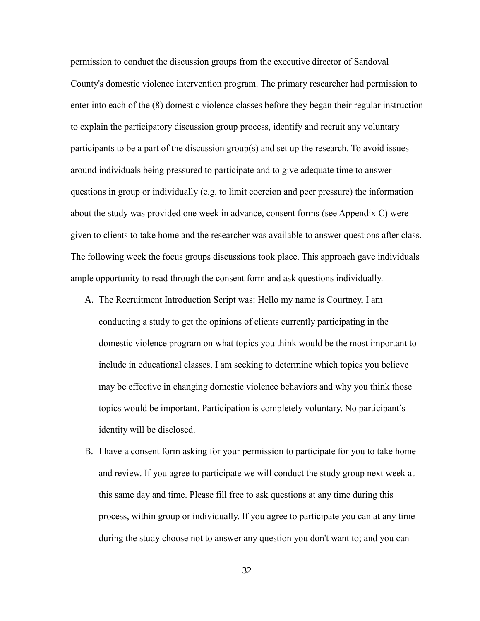permission to conduct the discussion groups from the executive director of Sandoval County's domestic violence intervention program. The primary researcher had permission to enter into each of the (8) domestic violence classes before they began their regular instruction to explain the participatory discussion group process, identify and recruit any voluntary participants to be a part of the discussion group(s) and set up the research. To avoid issues around individuals being pressured to participate and to give adequate time to answer questions in group or individually (e.g. to limit coercion and peer pressure) the information about the study was provided one week in advance, consent forms (see Appendix C) were given to clients to take home and the researcher was available to answer questions after class. The following week the focus groups discussions took place. This approach gave individuals ample opportunity to read through the consent form and ask questions individually.

- A. The Recruitment Introduction Script was: Hello my name is Courtney, I am conducting a study to get the opinions of clients currently participating in the domestic violence program on what topics you think would be the most important to include in educational classes. I am seeking to determine which topics you believe may be effective in changing domestic violence behaviors and why you think those topics would be important. Participation is completely voluntary. No participant"s identity will be disclosed.
- B. I have a consent form asking for your permission to participate for you to take home and review. If you agree to participate we will conduct the study group next week at this same day and time. Please fill free to ask questions at any time during this process, within group or individually. If you agree to participate you can at any time during the study choose not to answer any question you don't want to; and you can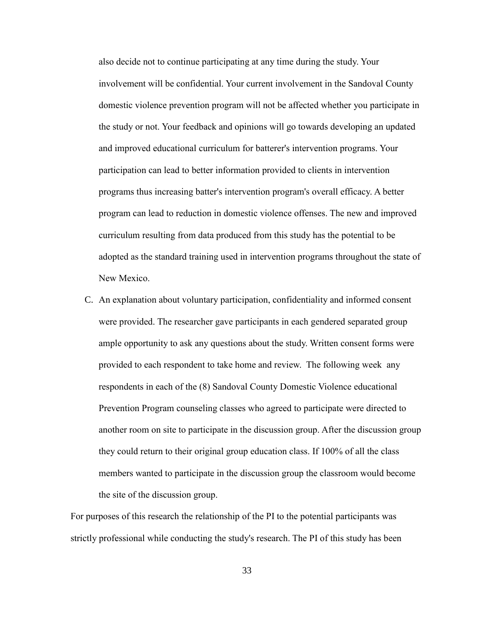also decide not to continue participating at any time during the study. Your involvement will be confidential. Your current involvement in the Sandoval County domestic violence prevention program will not be affected whether you participate in the study or not. Your feedback and opinions will go towards developing an updated and improved educational curriculum for batterer's intervention programs. Your participation can lead to better information provided to clients in intervention programs thus increasing batter's intervention program's overall efficacy. A better program can lead to reduction in domestic violence offenses. The new and improved curriculum resulting from data produced from this study has the potential to be adopted as the standard training used in intervention programs throughout the state of New Mexico.

C. An explanation about voluntary participation, confidentiality and informed consent were provided. The researcher gave participants in each gendered separated group ample opportunity to ask any questions about the study. Written consent forms were provided to each respondent to take home and review. The following week any respondents in each of the (8) Sandoval County Domestic Violence educational Prevention Program counseling classes who agreed to participate were directed to another room on site to participate in the discussion group. After the discussion group they could return to their original group education class. If 100% of all the class members wanted to participate in the discussion group the classroom would become the site of the discussion group.

For purposes of this research the relationship of the PI to the potential participants was strictly professional while conducting the study's research. The PI of this study has been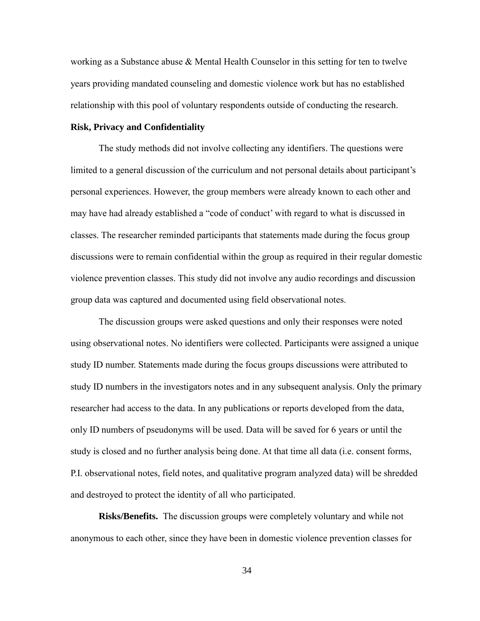working as a Substance abuse  $\&$  Mental Health Counselor in this setting for ten to twelve years providing mandated counseling and domestic violence work but has no established relationship with this pool of voluntary respondents outside of conducting the research.

### **Risk, Privacy and Confidentiality**

The study methods did not involve collecting any identifiers. The questions were limited to a general discussion of the curriculum and not personal details about participant's personal experiences. However, the group members were already known to each other and may have had already established a "code of conduct" with regard to what is discussed in classes. The researcher reminded participants that statements made during the focus group discussions were to remain confidential within the group as required in their regular domestic violence prevention classes. This study did not involve any audio recordings and discussion group data was captured and documented using field observational notes.

The discussion groups were asked questions and only their responses were noted using observational notes. No identifiers were collected. Participants were assigned a unique study ID number. Statements made during the focus groups discussions were attributed to study ID numbers in the investigators notes and in any subsequent analysis. Only the primary researcher had access to the data. In any publications or reports developed from the data, only ID numbers of pseudonyms will be used. Data will be saved for 6 years or until the study is closed and no further analysis being done. At that time all data (i.e. consent forms, P.I. observational notes, field notes, and qualitative program analyzed data) will be shredded and destroyed to protect the identity of all who participated.

**Risks/Benefits.** The discussion groups were completely voluntary and while not anonymous to each other, since they have been in domestic violence prevention classes for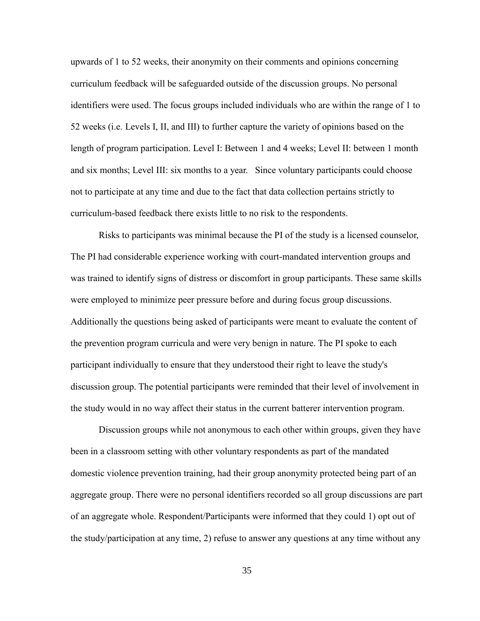upwards of 1 to 52 weeks, their anonymity on their comments and opinions concerning curriculum feedback will be safeguarded outside of the discussion groups. No personal identifiers were used. The focus groups included individuals who are within the range of 1 to 52 weeks (i.e. Levels I, II, and III) to further capture the variety of opinions based on the length of program participation. Level I: Between 1 and 4 weeks; Level II: between 1 month and six months; Level III: six months to a year. Since voluntary participants could choose not to participate at any time and due to the fact that data collection pertains strictly to curriculum-based feedback there exists little to no risk to the respondents.

Risks to participants was minimal because the PI of the study is a licensed counselor, The PI had considerable experience working with court-mandated intervention groups and was trained to identify signs of distress or discomfort in group participants. These same skills were employed to minimize peer pressure before and during focus group discussions. Additionally the questions being asked of participants were meant to evaluate the content of the prevention program curricula and were very benign in nature. The PI spoke to each participant individually to ensure that they understood their right to leave the study's discussion group. The potential participants were reminded that their level of involvement in the study would in no way affect their status in the current batterer intervention program.

Discussion groups while not anonymous to each other within groups, given they have been in a classroom setting with other voluntary respondents as part of the mandated domestic violence prevention training, had their group anonymity protected being part of an aggregate group. There were no personal identifiers recorded so all group discussions are part of an aggregate whole. Respondent/Participants were informed that they could 1) opt out of the study/participation at any time, 2) refuse to answer any questions at any time without any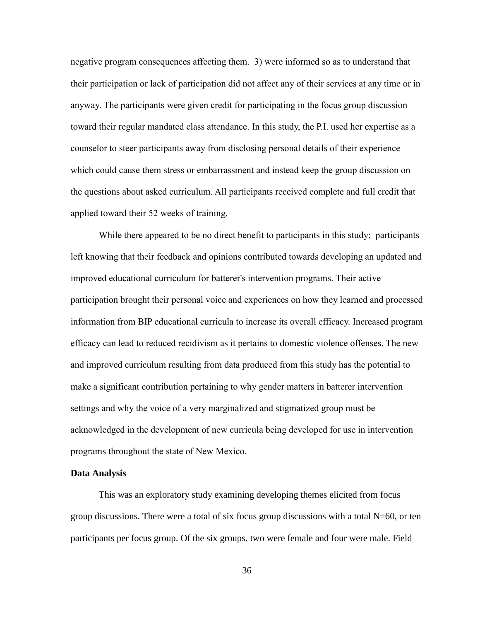negative program consequences affecting them. 3) were informed so as to understand that their participation or lack of participation did not affect any of their services at any time or in anyway. The participants were given credit for participating in the focus group discussion toward their regular mandated class attendance. In this study, the P.I. used her expertise as a counselor to steer participants away from disclosing personal details of their experience which could cause them stress or embarrassment and instead keep the group discussion on the questions about asked curriculum. All participants received complete and full credit that applied toward their 52 weeks of training.

While there appeared to be no direct benefit to participants in this study; participants left knowing that their feedback and opinions contributed towards developing an updated and improved educational curriculum for batterer's intervention programs. Their active participation brought their personal voice and experiences on how they learned and processed information from BIP educational curricula to increase its overall efficacy. Increased program efficacy can lead to reduced recidivism as it pertains to domestic violence offenses. The new and improved curriculum resulting from data produced from this study has the potential to make a significant contribution pertaining to why gender matters in batterer intervention settings and why the voice of a very marginalized and stigmatized group must be acknowledged in the development of new curricula being developed for use in intervention programs throughout the state of New Mexico.

### **Data Analysis**

This was an exploratory study examining developing themes elicited from focus group discussions. There were a total of six focus group discussions with a total  $N=60$ , or ten participants per focus group. Of the six groups, two were female and four were male. Field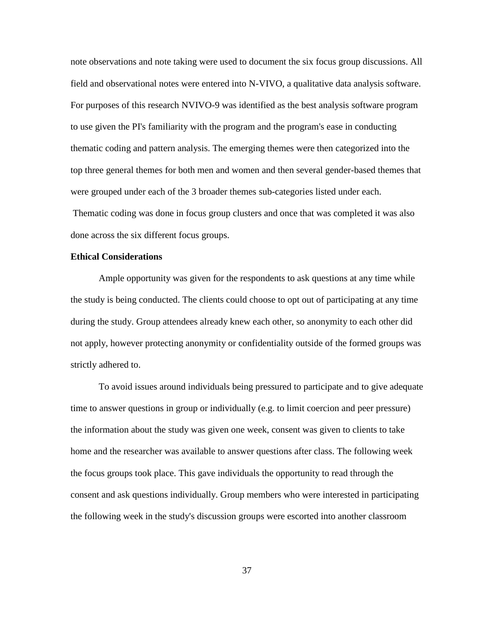note observations and note taking were used to document the six focus group discussions. All field and observational notes were entered into N-VIVO, a qualitative data analysis software. For purposes of this research NVIVO-9 was identified as the best analysis software program to use given the PI's familiarity with the program and the program's ease in conducting thematic coding and pattern analysis. The emerging themes were then categorized into the top three general themes for both men and women and then several gender-based themes that were grouped under each of the 3 broader themes sub-categories listed under each. Thematic coding was done in focus group clusters and once that was completed it was also done across the six different focus groups.

### **Ethical Considerations**

Ample opportunity was given for the respondents to ask questions at any time while the study is being conducted. The clients could choose to opt out of participating at any time during the study. Group attendees already knew each other, so anonymity to each other did not apply, however protecting anonymity or confidentiality outside of the formed groups was strictly adhered to.

To avoid issues around individuals being pressured to participate and to give adequate time to answer questions in group or individually (e.g. to limit coercion and peer pressure) the information about the study was given one week, consent was given to clients to take home and the researcher was available to answer questions after class. The following week the focus groups took place. This gave individuals the opportunity to read through the consent and ask questions individually. Group members who were interested in participating the following week in the study's discussion groups were escorted into another classroom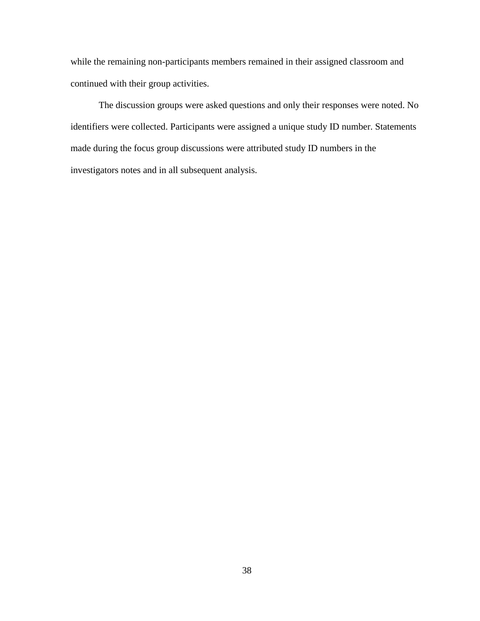while the remaining non-participants members remained in their assigned classroom and continued with their group activities.

The discussion groups were asked questions and only their responses were noted. No identifiers were collected. Participants were assigned a unique study ID number. Statements made during the focus group discussions were attributed study ID numbers in the investigators notes and in all subsequent analysis.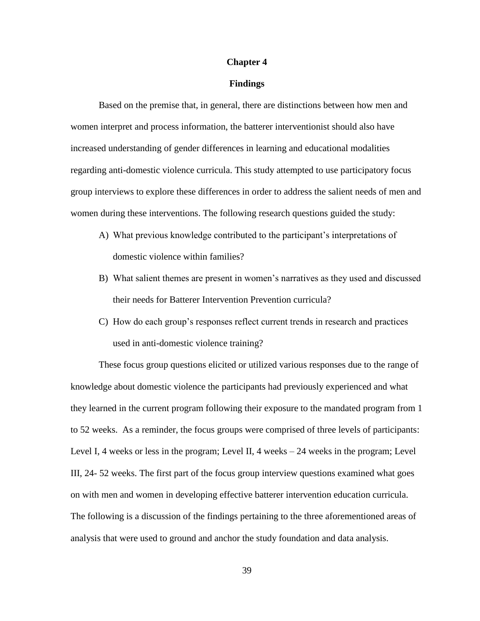#### **Chapter 4**

#### **Findings**

Based on the premise that, in general, there are distinctions between how men and women interpret and process information, the batterer interventionist should also have increased understanding of gender differences in learning and educational modalities regarding anti-domestic violence curricula. This study attempted to use participatory focus group interviews to explore these differences in order to address the salient needs of men and women during these interventions. The following research questions guided the study:

- A) What previous knowledge contributed to the participant"s interpretations of domestic violence within families?
- B) What salient themes are present in women"s narratives as they used and discussed their needs for Batterer Intervention Prevention curricula?
- C) How do each group"s responses reflect current trends in research and practices used in anti-domestic violence training?

These focus group questions elicited or utilized various responses due to the range of knowledge about domestic violence the participants had previously experienced and what they learned in the current program following their exposure to the mandated program from 1 to 52 weeks. As a reminder, the focus groups were comprised of three levels of participants: Level I, 4 weeks or less in the program; Level II, 4 weeks – 24 weeks in the program; Level III, 24- 52 weeks. The first part of the focus group interview questions examined what goes on with men and women in developing effective batterer intervention education curricula. The following is a discussion of the findings pertaining to the three aforementioned areas of analysis that were used to ground and anchor the study foundation and data analysis.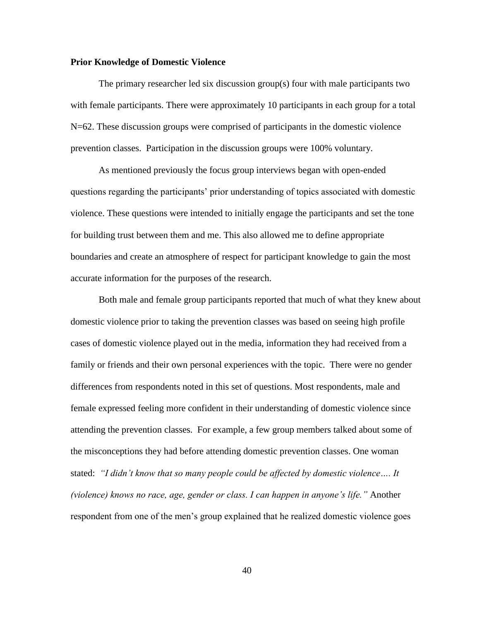### **Prior Knowledge of Domestic Violence**

The primary researcher led six discussion group(s) four with male participants two with female participants. There were approximately 10 participants in each group for a total N=62. These discussion groups were comprised of participants in the domestic violence prevention classes. Participation in the discussion groups were 100% voluntary.

As mentioned previously the focus group interviews began with open-ended questions regarding the participants" prior understanding of topics associated with domestic violence. These questions were intended to initially engage the participants and set the tone for building trust between them and me. This also allowed me to define appropriate boundaries and create an atmosphere of respect for participant knowledge to gain the most accurate information for the purposes of the research.

Both male and female group participants reported that much of what they knew about domestic violence prior to taking the prevention classes was based on seeing high profile cases of domestic violence played out in the media, information they had received from a family or friends and their own personal experiences with the topic. There were no gender differences from respondents noted in this set of questions. Most respondents, male and female expressed feeling more confident in their understanding of domestic violence since attending the prevention classes. For example, a few group members talked about some of the misconceptions they had before attending domestic prevention classes. One woman stated: *"I didn"t know that so many people could be affected by domestic violence…. It (violence) knows no race, age, gender or class. I can happen in anyone"s life."* Another respondent from one of the men's group explained that he realized domestic violence goes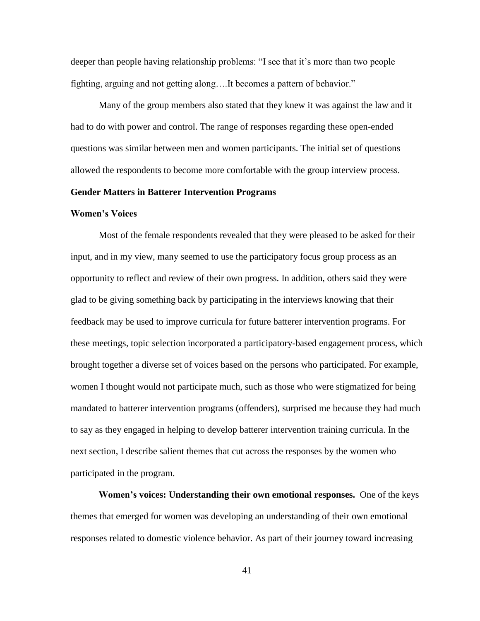deeper than people having relationship problems: "I see that it's more than two people fighting, arguing and not getting along….It becomes a pattern of behavior."

Many of the group members also stated that they knew it was against the law and it had to do with power and control. The range of responses regarding these open-ended questions was similar between men and women participants. The initial set of questions allowed the respondents to become more comfortable with the group interview process.

#### **Gender Matters in Batterer Intervention Programs**

#### **Women's Voices**

Most of the female respondents revealed that they were pleased to be asked for their input, and in my view, many seemed to use the participatory focus group process as an opportunity to reflect and review of their own progress. In addition, others said they were glad to be giving something back by participating in the interviews knowing that their feedback may be used to improve curricula for future batterer intervention programs. For these meetings, topic selection incorporated a participatory-based engagement process, which brought together a diverse set of voices based on the persons who participated. For example, women I thought would not participate much, such as those who were stigmatized for being mandated to batterer intervention programs (offenders), surprised me because they had much to say as they engaged in helping to develop batterer intervention training curricula. In the next section, I describe salient themes that cut across the responses by the women who participated in the program.

**Women's voices: Understanding their own emotional responses.** One of the keys themes that emerged for women was developing an understanding of their own emotional responses related to domestic violence behavior. As part of their journey toward increasing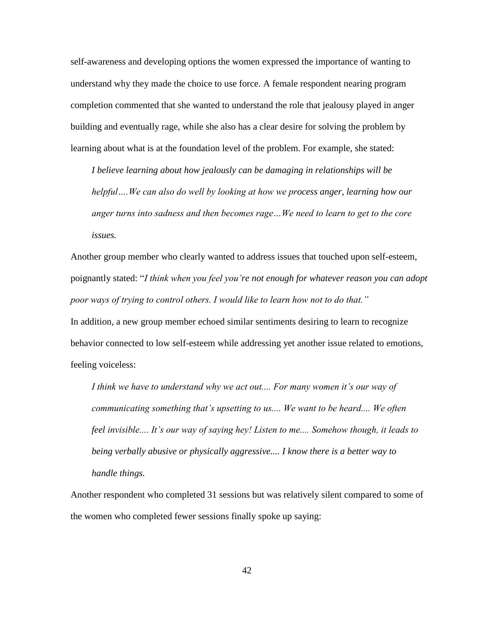self-awareness and developing options the women expressed the importance of wanting to understand why they made the choice to use force. A female respondent nearing program completion commented that she wanted to understand the role that jealousy played in anger building and eventually rage, while she also has a clear desire for solving the problem by learning about what is at the foundation level of the problem. For example, she stated:

*I believe learning about how jealously can be damaging in relationships will be helpful….We can also do well by looking at how we process anger, learning how our anger turns into sadness and then becomes rage…We need to learn to get to the core issues.*

Another group member who clearly wanted to address issues that touched upon self-esteem, poignantly stated: "*I think when you feel you"re not enough for whatever reason you can adopt poor ways of trying to control others. I would like to learn how not to do that."* In addition, a new group member echoed similar sentiments desiring to learn to recognize behavior connected to low self-esteem while addressing yet another issue related to emotions, feeling voiceless:

I think we have to understand why we act out.... For many women it's our way of *communicating something that"s upsetting to us.... We want to be heard.... We often feel invisible.... It"s our way of saying hey! Listen to me.... Somehow though, it leads to being verbally abusive or physically aggressive.... I know there is a better way to handle things.*

Another respondent who completed 31 sessions but was relatively silent compared to some of the women who completed fewer sessions finally spoke up saying: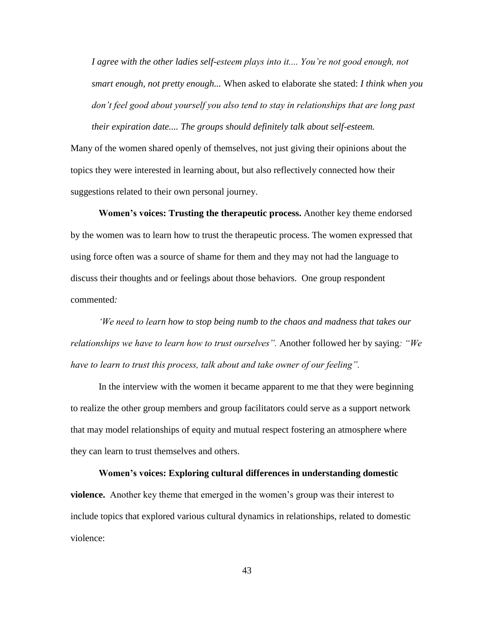*I agree with the other ladies self-esteem plays into it.... You"re not good enough, not smart enough, not pretty enough...* When asked to elaborate she stated: *I think when you don"t feel good about yourself you also tend to stay in relationships that are long past their expiration date.... The groups should definitely talk about self-esteem.*

Many of the women shared openly of themselves, not just giving their opinions about the topics they were interested in learning about, but also reflectively connected how their suggestions related to their own personal journey.

**Women's voices: Trusting the therapeutic process.** Another key theme endorsed by the women was to learn how to trust the therapeutic process. The women expressed that using force often was a source of shame for them and they may not had the language to discuss their thoughts and or feelings about those behaviors. One group respondent commented*:* 

*"We need to learn how to stop being numb to the chaos and madness that takes our relationships we have to learn how to trust ourselves".* Another followed her by saying*: "We have to learn to trust this process, talk about and take owner of our feeling".*

In the interview with the women it became apparent to me that they were beginning to realize the other group members and group facilitators could serve as a support network that may model relationships of equity and mutual respect fostering an atmosphere where they can learn to trust themselves and others.

**Women's voices: Exploring cultural differences in understanding domestic violence.** Another key theme that emerged in the women's group was their interest to include topics that explored various cultural dynamics in relationships, related to domestic violence: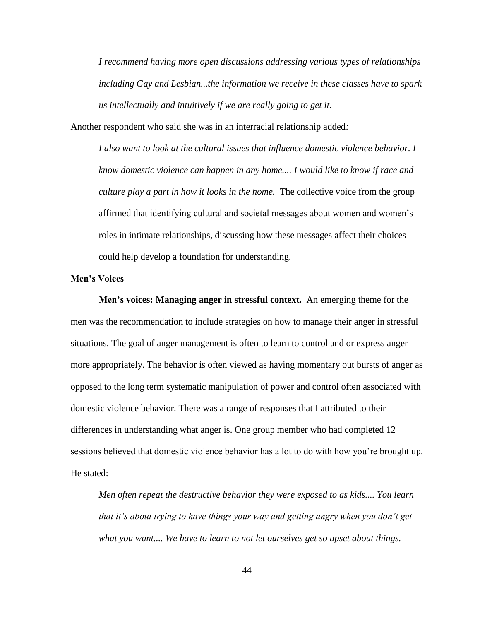*I recommend having more open discussions addressing various types of relationships including Gay and Lesbian...the information we receive in these classes have to spark us intellectually and intuitively if we are really going to get it.* 

Another respondent who said she was in an interracial relationship added*:* 

*I also want to look at the cultural issues that influence domestic violence behavior. I know domestic violence can happen in any home.... I would like to know if race and culture play a part in how it looks in the home.* The collective voice from the group affirmed that identifying cultural and societal messages about women and women"s roles in intimate relationships, discussing how these messages affect their choices could help develop a foundation for understanding.

### **Men's Voices**

**Men's voices: Managing anger in stressful context.** An emerging theme for the men was the recommendation to include strategies on how to manage their anger in stressful situations. The goal of anger management is often to learn to control and or express anger more appropriately. The behavior is often viewed as having momentary out bursts of anger as opposed to the long term systematic manipulation of power and control often associated with domestic violence behavior. There was a range of responses that I attributed to their differences in understanding what anger is. One group member who had completed 12 sessions believed that domestic violence behavior has a lot to do with how you"re brought up. He stated:

*Men often repeat the destructive behavior they were exposed to as kids.... You learn that it"s about trying to have things your way and getting angry when you don"t get what you want.... We have to learn to not let ourselves get so upset about things.*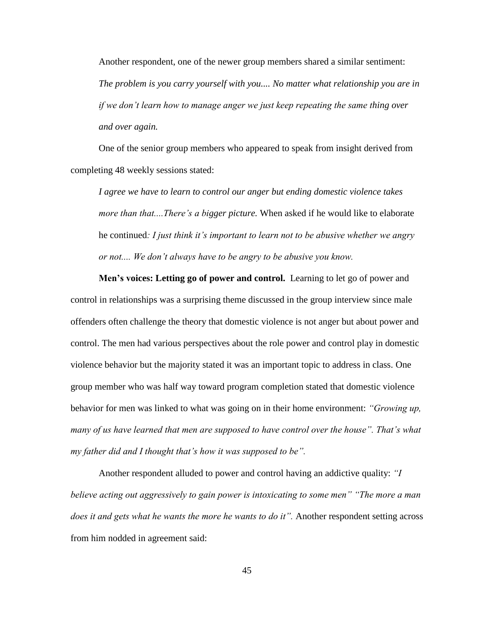Another respondent, one of the newer group members shared a similar sentiment: *The problem is you carry yourself with you.... No matter what relationship you are in if we don"t learn how to manage anger we just keep repeating the same thing over and over again.*

One of the senior group members who appeared to speak from insight derived from completing 48 weekly sessions stated:

*I agree we have to learn to control our anger but ending domestic violence takes more than that....There"s a bigger picture.* When asked if he would like to elaborate he continued*: I just think it"s important to learn not to be abusive whether we angry or not.... We don"t always have to be angry to be abusive you know.*

**Men's voices: Letting go of power and control.** Learning to let go of power and control in relationships was a surprising theme discussed in the group interview since male offenders often challenge the theory that domestic violence is not anger but about power and control. The men had various perspectives about the role power and control play in domestic violence behavior but the majority stated it was an important topic to address in class. One group member who was half way toward program completion stated that domestic violence behavior for men was linked to what was going on in their home environment: *"Growing up, many of us have learned that men are supposed to have control over the house". That's what my father did and I thought that"s how it was supposed to be".*

Another respondent alluded to power and control having an addictive quality: *"I believe acting out aggressively to gain power is intoxicating to some men" "The more a man does it and gets what he wants the more he wants to do it".* Another respondent setting across from him nodded in agreement said: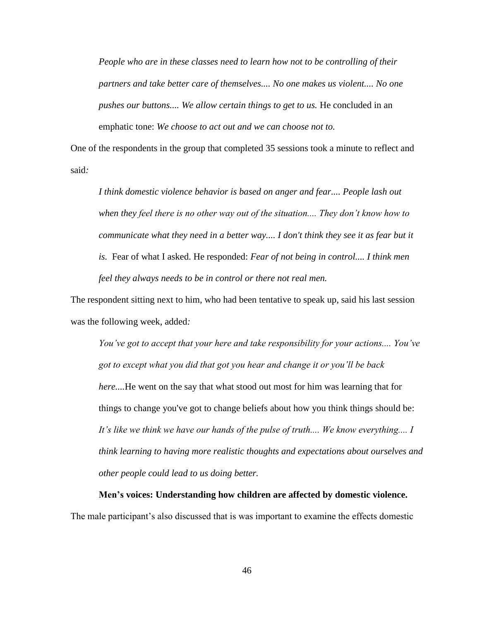*People who are in these classes need to learn how not to be controlling of their partners and take better care of themselves.... No one makes us violent.... No one pushes our buttons.... We allow certain things to get to us.* He concluded in an emphatic tone: *We choose to act out and we can choose not to.*

One of the respondents in the group that completed 35 sessions took a minute to reflect and said*:* 

*I think domestic violence behavior is based on anger and fear.... People lash out when they feel there is no other way out of the situation.... They don"t know how to communicate what they need in a better way.... I don't think they see it as fear but it is.* Fear of what I asked. He responded: *Fear of not being in control.... I think men feel they always needs to be in control or there not real men.*

The respondent sitting next to him, who had been tentative to speak up, said his last session was the following week, added*:* 

*You"ve got to accept that your here and take responsibility for your actions.... You"ve got to except what you did that got you hear and change it or you"ll be back here....*He went on the say that what stood out most for him was learning that for things to change you've got to change beliefs about how you think things should be: *It"s like we think we have our hands of the pulse of truth.... We know everything.... I think learning to having more realistic thoughts and expectations about ourselves and other people could lead to us doing better.*

**Men's voices: Understanding how children are affected by domestic violence.** The male participant"s also discussed that is was important to examine the effects domestic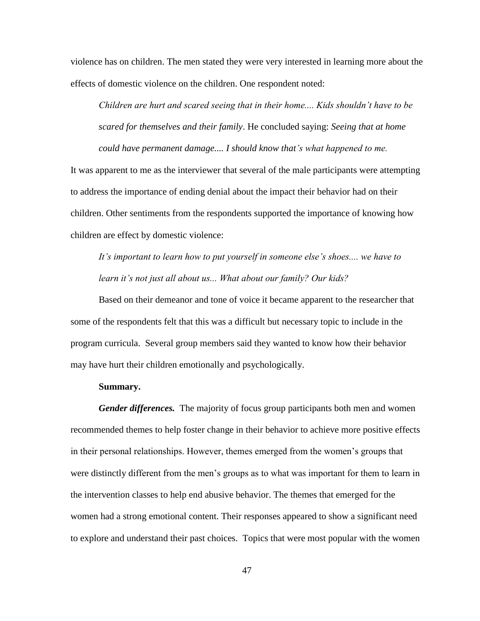violence has on children. The men stated they were very interested in learning more about the effects of domestic violence on the children. One respondent noted:

*Children are hurt and scared seeing that in their home.... Kids shouldn"t have to be scared for themselves and their family*. He concluded saying: *Seeing that at home could have permanent damage.... I should know that"s what happened to me.*

It was apparent to me as the interviewer that several of the male participants were attempting to address the importance of ending denial about the impact their behavior had on their children. Other sentiments from the respondents supported the importance of knowing how children are effect by domestic violence:

*It"s important to learn how to put yourself in someone else"s shoes.... we have to learn it"s not just all about us... What about our family? Our kids?*

Based on their demeanor and tone of voice it became apparent to the researcher that some of the respondents felt that this was a difficult but necessary topic to include in the program curricula. Several group members said they wanted to know how their behavior may have hurt their children emotionally and psychologically.

#### **Summary.**

*Gender differences.* The majority of focus group participants both men and women recommended themes to help foster change in their behavior to achieve more positive effects in their personal relationships. However, themes emerged from the women"s groups that were distinctly different from the men's groups as to what was important for them to learn in the intervention classes to help end abusive behavior. The themes that emerged for the women had a strong emotional content. Their responses appeared to show a significant need to explore and understand their past choices. Topics that were most popular with the women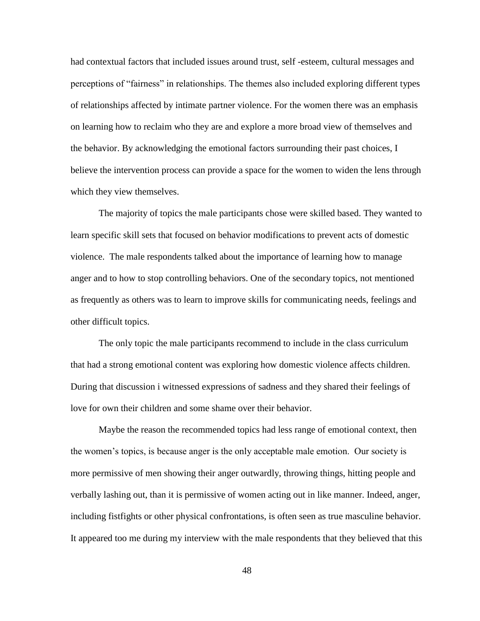had contextual factors that included issues around trust, self -esteem, cultural messages and perceptions of "fairness" in relationships. The themes also included exploring different types of relationships affected by intimate partner violence. For the women there was an emphasis on learning how to reclaim who they are and explore a more broad view of themselves and the behavior. By acknowledging the emotional factors surrounding their past choices, I believe the intervention process can provide a space for the women to widen the lens through which they view themselves.

The majority of topics the male participants chose were skilled based. They wanted to learn specific skill sets that focused on behavior modifications to prevent acts of domestic violence. The male respondents talked about the importance of learning how to manage anger and to how to stop controlling behaviors. One of the secondary topics, not mentioned as frequently as others was to learn to improve skills for communicating needs, feelings and other difficult topics.

The only topic the male participants recommend to include in the class curriculum that had a strong emotional content was exploring how domestic violence affects children. During that discussion i witnessed expressions of sadness and they shared their feelings of love for own their children and some shame over their behavior.

Maybe the reason the recommended topics had less range of emotional context, then the women"s topics, is because anger is the only acceptable male emotion. Our society is more permissive of men showing their anger outwardly, throwing things, hitting people and verbally lashing out, than it is permissive of women acting out in like manner. Indeed, anger, including fistfights or other physical confrontations, is often seen as true masculine behavior. It appeared too me during my interview with the male respondents that they believed that this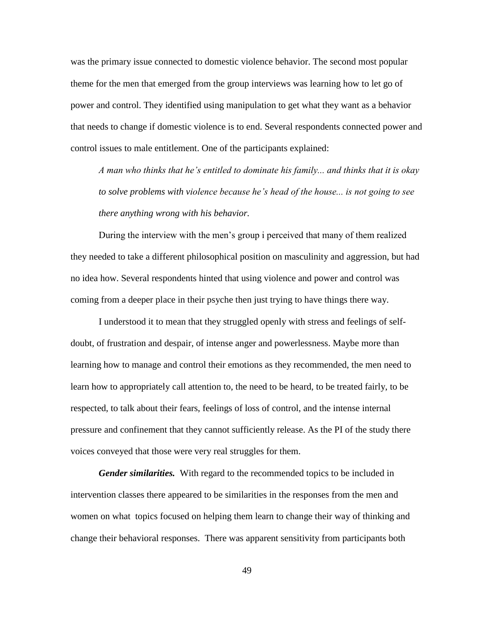was the primary issue connected to domestic violence behavior. The second most popular theme for the men that emerged from the group interviews was learning how to let go of power and control. They identified using manipulation to get what they want as a behavior that needs to change if domestic violence is to end. Several respondents connected power and control issues to male entitlement. One of the participants explained:

*A man who thinks that he"s entitled to dominate his family... and thinks that it is okay to solve problems with violence because he"s head of the house... is not going to see there anything wrong with his behavior.*

During the interview with the men"s group i perceived that many of them realized they needed to take a different philosophical position on masculinity and aggression, but had no idea how. Several respondents hinted that using violence and power and control was coming from a deeper place in their psyche then just trying to have things there way.

I understood it to mean that they struggled openly with stress and feelings of selfdoubt, of frustration and despair, of intense anger and powerlessness. Maybe more than learning how to manage and control their emotions as they recommended, the men need to learn how to appropriately call attention to, the need to be heard, to be treated fairly, to be respected, to talk about their fears, feelings of loss of control, and the intense internal pressure and confinement that they cannot sufficiently release. As the PI of the study there voices conveyed that those were very real struggles for them.

*Gender similarities.* With regard to the recommended topics to be included in intervention classes there appeared to be similarities in the responses from the men and women on what topics focused on helping them learn to change their way of thinking and change their behavioral responses. There was apparent sensitivity from participants both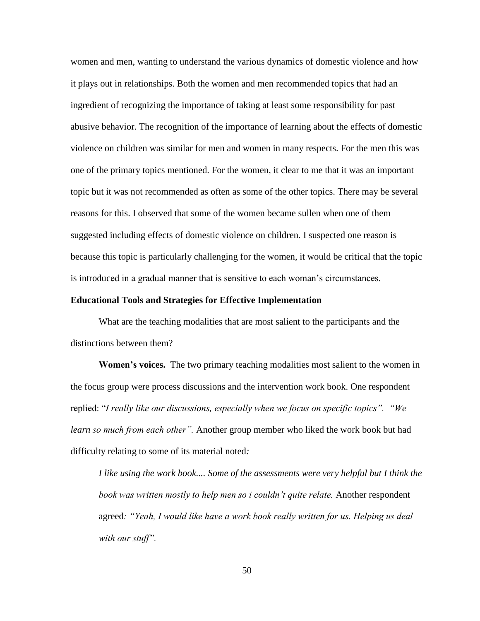women and men, wanting to understand the various dynamics of domestic violence and how it plays out in relationships. Both the women and men recommended topics that had an ingredient of recognizing the importance of taking at least some responsibility for past abusive behavior. The recognition of the importance of learning about the effects of domestic violence on children was similar for men and women in many respects. For the men this was one of the primary topics mentioned. For the women, it clear to me that it was an important topic but it was not recommended as often as some of the other topics. There may be several reasons for this. I observed that some of the women became sullen when one of them suggested including effects of domestic violence on children. I suspected one reason is because this topic is particularly challenging for the women, it would be critical that the topic is introduced in a gradual manner that is sensitive to each woman"s circumstances.

#### **Educational Tools and Strategies for Effective Implementation**

What are the teaching modalities that are most salient to the participants and the distinctions between them?

**Women's voices.** The two primary teaching modalities most salient to the women in the focus group were process discussions and the intervention work book. One respondent replied: "*I really like our discussions, especially when we focus on specific topics". "We learn so much from each other".* Another group member who liked the work book but had difficulty relating to some of its material noted*:*

*I like using the work book.... Some of the assessments were very helpful but I think the book was written mostly to help men so i couldn"t quite relate.* Another respondent agreed*: "Yeah, I would like have a work book really written for us. Helping us deal with our stuff".*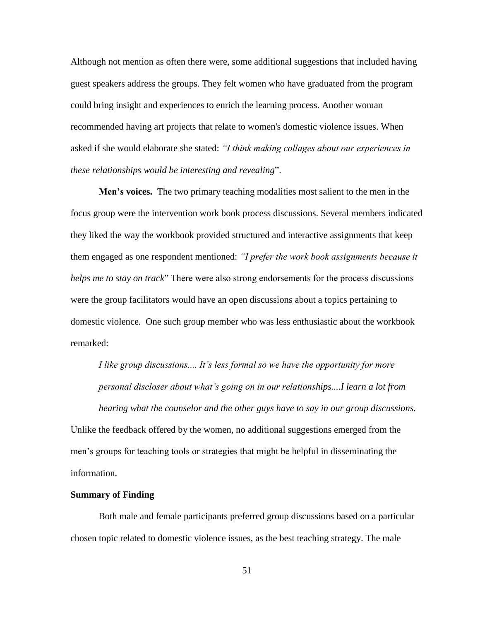Although not mention as often there were, some additional suggestions that included having guest speakers address the groups. They felt women who have graduated from the program could bring insight and experiences to enrich the learning process. Another woman recommended having art projects that relate to women's domestic violence issues. When asked if she would elaborate she stated: *"I think making collages about our experiences in these relationships would be interesting and revealing*".

**Men's voices.** The two primary teaching modalities most salient to the men in the focus group were the intervention work book process discussions. Several members indicated they liked the way the workbook provided structured and interactive assignments that keep them engaged as one respondent mentioned: *"I prefer the work book assignments because it helps me to stay on track*" There were also strong endorsements for the process discussions were the group facilitators would have an open discussions about a topics pertaining to domestic violence*.* One such group member who was less enthusiastic about the workbook remarked:

*I like group discussions.... It"s less formal so we have the opportunity for more personal discloser about what"s going on in our relationships....I learn a lot from hearing what the counselor and the other guys have to say in our group discussions.* 

Unlike the feedback offered by the women, no additional suggestions emerged from the men"s groups for teaching tools or strategies that might be helpful in disseminating the information.

#### **Summary of Finding**

Both male and female participants preferred group discussions based on a particular chosen topic related to domestic violence issues, as the best teaching strategy. The male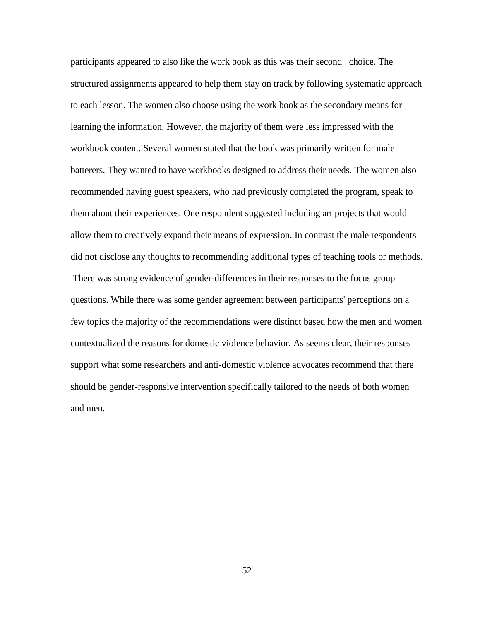participants appeared to also like the work book as this was their second choice. The structured assignments appeared to help them stay on track by following systematic approach to each lesson. The women also choose using the work book as the secondary means for learning the information. However, the majority of them were less impressed with the workbook content. Several women stated that the book was primarily written for male batterers. They wanted to have workbooks designed to address their needs. The women also recommended having guest speakers, who had previously completed the program, speak to them about their experiences. One respondent suggested including art projects that would allow them to creatively expand their means of expression. In contrast the male respondents did not disclose any thoughts to recommending additional types of teaching tools or methods. There was strong evidence of gender-differences in their responses to the focus group questions. While there was some gender agreement between participants' perceptions on a few topics the majority of the recommendations were distinct based how the men and women contextualized the reasons for domestic violence behavior. As seems clear, their responses support what some researchers and anti-domestic violence advocates recommend that there should be gender-responsive intervention specifically tailored to the needs of both women and men.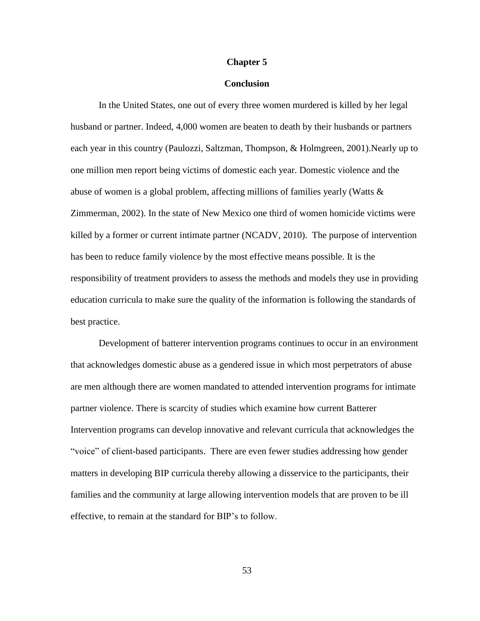#### **Chapter 5**

## **Conclusion**

In the United States, one out of every three women murdered is killed by her legal husband or partner. Indeed, 4,000 women are beaten to death by their husbands or partners each year in this country (Paulozzi, Saltzman, Thompson, & Holmgreen, 2001).Nearly up to one million men report being victims of domestic each year. Domestic violence and the abuse of women is a global problem, affecting millions of families yearly (Watts & Zimmerman, 2002). In the state of New Mexico one third of women homicide victims were killed by a former or current intimate partner (NCADV, 2010). The purpose of intervention has been to reduce family violence by the most effective means possible. It is the responsibility of treatment providers to assess the methods and models they use in providing education curricula to make sure the quality of the information is following the standards of best practice.

Development of batterer intervention programs continues to occur in an environment that acknowledges domestic abuse as a gendered issue in which most perpetrators of abuse are men although there are women mandated to attended intervention programs for intimate partner violence. There is scarcity of studies which examine how current Batterer Intervention programs can develop innovative and relevant curricula that acknowledges the "voice" of client-based participants. There are even fewer studies addressing how gender matters in developing BIP curricula thereby allowing a disservice to the participants, their families and the community at large allowing intervention models that are proven to be ill effective, to remain at the standard for BIP"s to follow.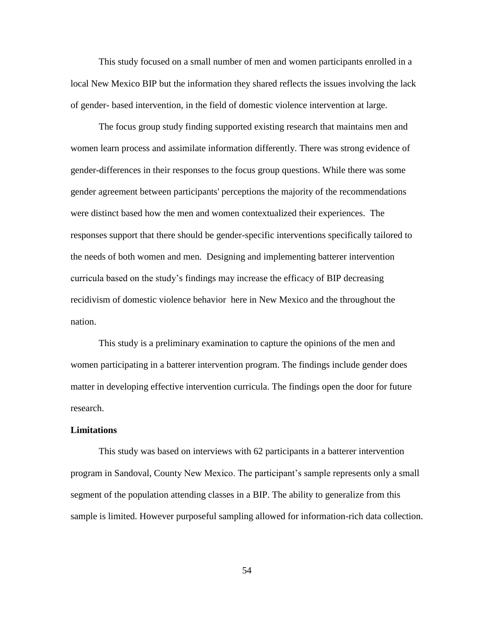This study focused on a small number of men and women participants enrolled in a local New Mexico BIP but the information they shared reflects the issues involving the lack of gender- based intervention, in the field of domestic violence intervention at large.

The focus group study finding supported existing research that maintains men and women learn process and assimilate information differently. There was strong evidence of gender-differences in their responses to the focus group questions. While there was some gender agreement between participants' perceptions the majority of the recommendations were distinct based how the men and women contextualized their experiences. The responses support that there should be gender-specific interventions specifically tailored to the needs of both women and men. Designing and implementing batterer intervention curricula based on the study"s findings may increase the efficacy of BIP decreasing recidivism of domestic violence behavior here in New Mexico and the throughout the nation.

This study is a preliminary examination to capture the opinions of the men and women participating in a batterer intervention program. The findings include gender does matter in developing effective intervention curricula. The findings open the door for future research.

#### **Limitations**

This study was based on interviews with 62 participants in a batterer intervention program in Sandoval, County New Mexico. The participant's sample represents only a small segment of the population attending classes in a BIP. The ability to generalize from this sample is limited. However purposeful sampling allowed for information-rich data collection.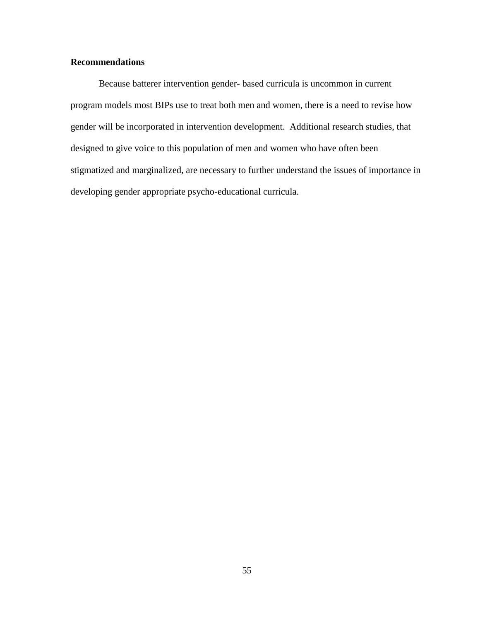## **Recommendations**

Because batterer intervention gender- based curricula is uncommon in current program models most BIPs use to treat both men and women, there is a need to revise how gender will be incorporated in intervention development. Additional research studies, that designed to give voice to this population of men and women who have often been stigmatized and marginalized, are necessary to further understand the issues of importance in developing gender appropriate psycho-educational curricula.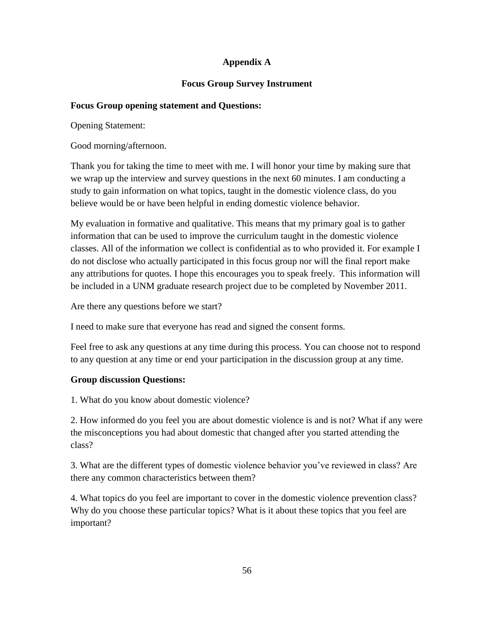# **Appendix A**

# **Focus Group Survey Instrument**

# **Focus Group opening statement and Questions:**

Opening Statement:

Good morning/afternoon.

Thank you for taking the time to meet with me. I will honor your time by making sure that we wrap up the interview and survey questions in the next 60 minutes. I am conducting a study to gain information on what topics, taught in the domestic violence class, do you believe would be or have been helpful in ending domestic violence behavior.

My evaluation in formative and qualitative. This means that my primary goal is to gather information that can be used to improve the curriculum taught in the domestic violence classes. All of the information we collect is confidential as to who provided it. For example I do not disclose who actually participated in this focus group nor will the final report make any attributions for quotes. I hope this encourages you to speak freely. This information will be included in a UNM graduate research project due to be completed by November 2011.

Are there any questions before we start?

I need to make sure that everyone has read and signed the consent forms.

Feel free to ask any questions at any time during this process. You can choose not to respond to any question at any time or end your participation in the discussion group at any time.

# **Group discussion Questions:**

1. What do you know about domestic violence?

2. How informed do you feel you are about domestic violence is and is not? What if any were the misconceptions you had about domestic that changed after you started attending the class?

3. What are the different types of domestic violence behavior you"ve reviewed in class? Are there any common characteristics between them?

4. What topics do you feel are important to cover in the domestic violence prevention class? Why do you choose these particular topics? What is it about these topics that you feel are important?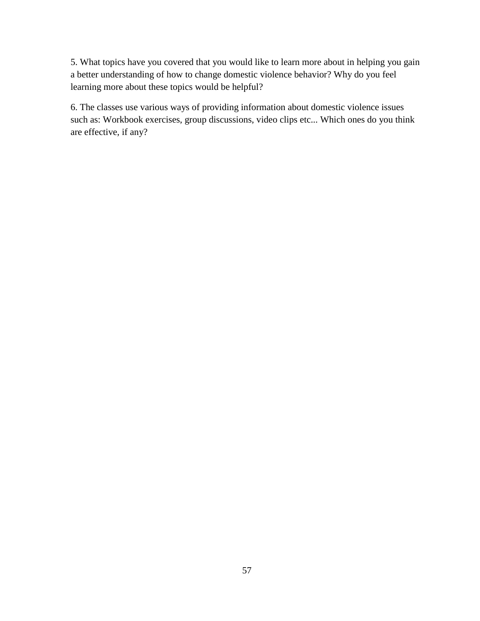5. What topics have you covered that you would like to learn more about in helping you gain a better understanding of how to change domestic violence behavior? Why do you feel learning more about these topics would be helpful?

6. The classes use various ways of providing information about domestic violence issues such as: Workbook exercises, group discussions, video clips etc... Which ones do you think are effective, if any?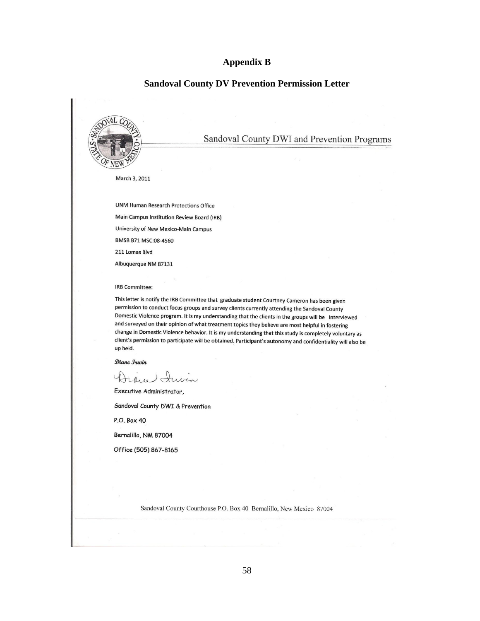### **Appendix B**

### **Sandoval County DV Prevention Permission Letter**

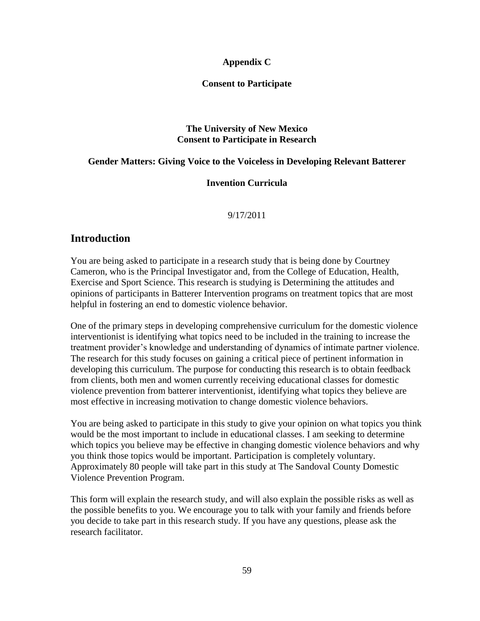## **Appendix C**

## **Consent to Participate**

## **The University of New Mexico Consent to Participate in Research**

## **Gender Matters: Giving Voice to the Voiceless in Developing Relevant Batterer**

## **Invention Curricula**

## 9/17/2011

# **Introduction**

You are being asked to participate in a research study that is being done by Courtney Cameron, who is the Principal Investigator and, from the College of Education, Health, Exercise and Sport Science. This research is studying is Determining the attitudes and opinions of participants in Batterer Intervention programs on treatment topics that are most helpful in fostering an end to domestic violence behavior.

One of the primary steps in developing comprehensive curriculum for the domestic violence interventionist is identifying what topics need to be included in the training to increase the treatment provider"s knowledge and understanding of dynamics of intimate partner violence. The research for this study focuses on gaining a critical piece of pertinent information in developing this curriculum. The purpose for conducting this research is to obtain feedback from clients, both men and women currently receiving educational classes for domestic violence prevention from batterer interventionist, identifying what topics they believe are most effective in increasing motivation to change domestic violence behaviors.

You are being asked to participate in this study to give your opinion on what topics you think would be the most important to include in educational classes. I am seeking to determine which topics you believe may be effective in changing domestic violence behaviors and why you think those topics would be important. Participation is completely voluntary. Approximately 80 people will take part in this study at The Sandoval County Domestic Violence Prevention Program.

This form will explain the research study, and will also explain the possible risks as well as the possible benefits to you. We encourage you to talk with your family and friends before you decide to take part in this research study. If you have any questions, please ask the research facilitator.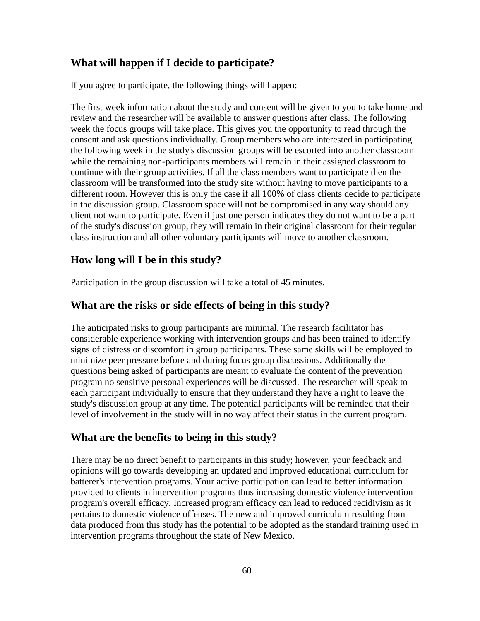# **What will happen if I decide to participate?**

If you agree to participate, the following things will happen:

The first week information about the study and consent will be given to you to take home and review and the researcher will be available to answer questions after class. The following week the focus groups will take place. This gives you the opportunity to read through the consent and ask questions individually. Group members who are interested in participating the following week in the study's discussion groups will be escorted into another classroom while the remaining non-participants members will remain in their assigned classroom to continue with their group activities. If all the class members want to participate then the classroom will be transformed into the study site without having to move participants to a different room. However this is only the case if all 100% of class clients decide to participate in the discussion group. Classroom space will not be compromised in any way should any client not want to participate. Even if just one person indicates they do not want to be a part of the study's discussion group, they will remain in their original classroom for their regular class instruction and all other voluntary participants will move to another classroom.

# **How long will I be in this study?**

Participation in the group discussion will take a total of 45 minutes.

## **What are the risks or side effects of being in this study?**

The anticipated risks to group participants are minimal. The research facilitator has considerable experience working with intervention groups and has been trained to identify signs of distress or discomfort in group participants. These same skills will be employed to minimize peer pressure before and during focus group discussions. Additionally the questions being asked of participants are meant to evaluate the content of the prevention program no sensitive personal experiences will be discussed. The researcher will speak to each participant individually to ensure that they understand they have a right to leave the study's discussion group at any time. The potential participants will be reminded that their level of involvement in the study will in no way affect their status in the current program.

# **What are the benefits to being in this study?**

There may be no direct benefit to participants in this study; however, your feedback and opinions will go towards developing an updated and improved educational curriculum for batterer's intervention programs. Your active participation can lead to better information provided to clients in intervention programs thus increasing domestic violence intervention program's overall efficacy. Increased program efficacy can lead to reduced recidivism as it pertains to domestic violence offenses. The new and improved curriculum resulting from data produced from this study has the potential to be adopted as the standard training used in intervention programs throughout the state of New Mexico.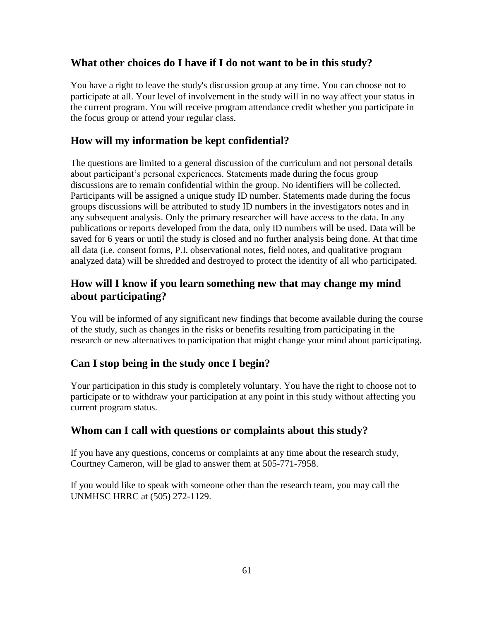# **What other choices do I have if I do not want to be in this study?**

You have a right to leave the study's discussion group at any time. You can choose not to participate at all. Your level of involvement in the study will in no way affect your status in the current program. You will receive program attendance credit whether you participate in the focus group or attend your regular class.

# **How will my information be kept confidential?**

The questions are limited to a general discussion of the curriculum and not personal details about participant"s personal experiences. Statements made during the focus group discussions are to remain confidential within the group. No identifiers will be collected. Participants will be assigned a unique study ID number. Statements made during the focus groups discussions will be attributed to study ID numbers in the investigators notes and in any subsequent analysis. Only the primary researcher will have access to the data. In any publications or reports developed from the data, only ID numbers will be used. Data will be saved for 6 years or until the study is closed and no further analysis being done. At that time all data (i.e. consent forms, P.I. observational notes, field notes, and qualitative program analyzed data) will be shredded and destroyed to protect the identity of all who participated.

# **How will I know if you learn something new that may change my mind about participating?**

You will be informed of any significant new findings that become available during the course of the study, such as changes in the risks or benefits resulting from participating in the research or new alternatives to participation that might change your mind about participating.

# **Can I stop being in the study once I begin?**

Your participation in this study is completely voluntary. You have the right to choose not to participate or to withdraw your participation at any point in this study without affecting you current program status.

# **Whom can I call with questions or complaints about this study?**

If you have any questions, concerns or complaints at any time about the research study, Courtney Cameron, will be glad to answer them at 505-771-7958.

If you would like to speak with someone other than the research team, you may call the UNMHSC HRRC at (505) 272-1129.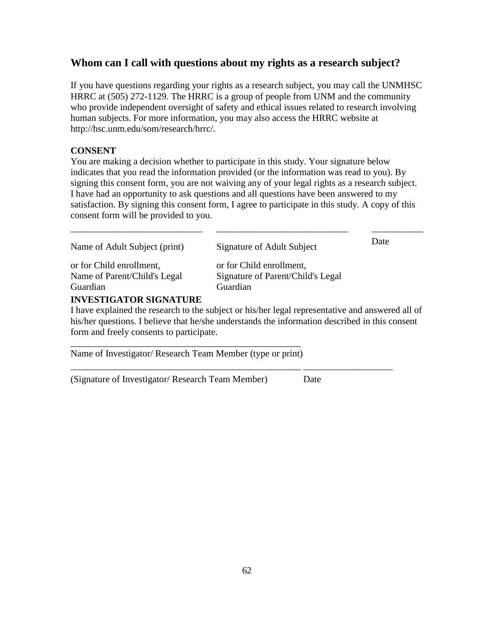# **Whom can I call with questions about my rights as a research subject?**

If you have questions regarding your rights as a research subject, you may call the UNMHSC HRRC at (505) 272-1129. The HRRC is a group of people from UNM and the community who provide independent oversight of safety and ethical issues related to research involving human subjects. For more information, you may also access the HRRC website at http://hsc.unm.edu/som/research/hrrc/.

# **CONSENT**

You are making a decision whether to participate in this study. Your signature below indicates that you read the information provided (or the information was read to you). By signing this consent form, you are not waiving any of your legal rights as a research subject. I have had an opportunity to ask questions and all questions have been answered to my satisfaction. By signing this consent form, I agree to participate in this study. A copy of this consent form will be provided to you.

\_\_\_\_\_\_\_\_\_\_\_\_\_\_\_\_\_\_\_\_\_\_\_\_\_\_\_\_ \_\_\_\_\_\_\_\_\_\_\_\_\_\_\_\_\_\_\_\_\_\_\_\_\_\_\_\_ \_\_\_\_\_\_\_\_\_\_\_

| Name of Adult Subject (print)                                                                                                                                                                                                     | Signature of Adult Subject                                                                       | Date |
|-----------------------------------------------------------------------------------------------------------------------------------------------------------------------------------------------------------------------------------|--------------------------------------------------------------------------------------------------|------|
| or for Child enrollment,                                                                                                                                                                                                          | or for Child enrollment,                                                                         |      |
| Name of Parent/Child's Legal                                                                                                                                                                                                      | Signature of Parent/Child's Legal                                                                |      |
| Guardian                                                                                                                                                                                                                          | Guardian                                                                                         |      |
| <b>INVESTIGATOR SIGNATURE</b>                                                                                                                                                                                                     |                                                                                                  |      |
|                                                                                                                                                                                                                                   | I have explained the research to the subject or his/her legal representative and answered all of |      |
|                                                                                                                                                                                                                                   | his/her questions. I believe that he/she understands the information described in this consent   |      |
| $\mathcal{C}$ and the state of the state of the state of the state of the state of the state of the state of the state of the state of the state of the state of the state of the state of the state of the state of the state of |                                                                                                  |      |

form and freely consents to participate. \_\_\_\_\_\_\_\_\_\_\_\_\_\_\_\_\_\_\_\_\_\_\_\_\_\_\_\_\_\_\_\_\_\_\_\_\_\_\_\_\_\_\_\_\_\_\_\_\_

\_\_\_\_\_\_\_\_\_\_\_\_\_\_\_\_\_\_\_\_\_\_\_\_\_\_\_\_\_\_\_\_\_\_\_\_\_\_\_\_\_\_\_\_\_\_\_\_\_ \_\_\_\_\_\_\_\_\_\_\_\_\_\_\_\_\_\_\_

Name of Investigator/ Research Team Member (type or print)

(Signature of Investigator/ Research Team Member) Date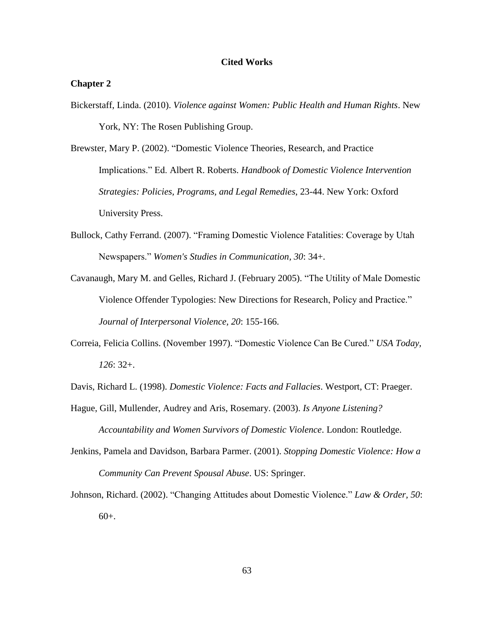### **Cited Works**

### **Chapter 2**

Bickerstaff, Linda. (2010). *Violence against Women: Public Health and Human Rights*. New York, NY: The Rosen Publishing Group.

Brewster, Mary P. (2002). "Domestic Violence Theories, Research, and Practice Implications." Ed. Albert R. Roberts. *Handbook of Domestic Violence Intervention Strategies: Policies, Programs, and Legal Remedies*, 23-44. New York: Oxford University Press.

- Bullock, Cathy Ferrand. (2007). "Framing Domestic Violence Fatalities: Coverage by Utah Newspapers." *Women's Studies in Communication, 30*: 34+.
- Cavanaugh, Mary M. and Gelles, Richard J. (February 2005). "The Utility of Male Domestic Violence Offender Typologies: New Directions for Research, Policy and Practice." *Journal of Interpersonal Violence, 20*: 155-166.
- Correia, Felicia Collins. (November 1997). "Domestic Violence Can Be Cured." *USA Today, 126*: 32+.

Davis, Richard L. (1998). *Domestic Violence: Facts and Fallacies*. Westport, CT: Praeger.

- Hague, Gill, Mullender, Audrey and Aris, Rosemary. (2003). *Is Anyone Listening? Accountability and Women Survivors of Domestic Violence*. London: Routledge.
- Jenkins, Pamela and Davidson, Barbara Parmer. (2001). *Stopping Domestic Violence: How a Community Can Prevent Spousal Abuse*. US: Springer.

Johnson, Richard. (2002). "Changing Attitudes about Domestic Violence." *Law & Order, 50*: 60+.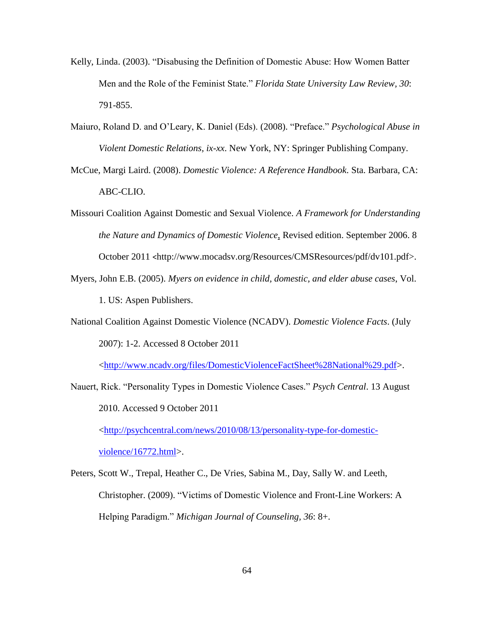- Kelly, Linda. (2003). "Disabusing the Definition of Domestic Abuse: How Women Batter Men and the Role of the Feminist State." *Florida State University Law Review, 30*: 791-855.
- Maiuro, Roland D. and O"Leary, K. Daniel (Eds). (2008). "Preface." *Psychological Abuse in Violent Domestic Relations, ix-xx*. New York, NY: Springer Publishing Company.
- McCue, Margi Laird. (2008). *Domestic Violence: A Reference Handbook*. Sta. Barbara, CA: ABC-CLIO.
- Missouri Coalition Against Domestic and Sexual Violence. *A Framework for Understanding the Nature and Dynamics of Domestic Violence*, Revised edition. September 2006. 8 October 2011 <http://www.mocadsv.org/Resources/CMSResources/pdf/dv101.pdf>.
- Myers, John E.B. (2005). *Myers on evidence in child, domestic, and elder abuse cases*, Vol. 1. US: Aspen Publishers.
- National Coalition Against Domestic Violence (NCADV). *Domestic Violence Facts*. (July 2007): 1-2. Accessed 8 October 2011

[<http://www.ncadv.org/files/DomesticViolenceFactSheet%28National%29.pdf>](http://www.ncadv.org/files/DomesticViolenceFactSheet%28National%29.pdf).

Nauert, Rick. "Personality Types in Domestic Violence Cases." *Psych Central*. 13 August 2010. Accessed 9 October 2011

[<http://psychcentral.com/news/2010/08/13/personality-type-for-domestic](http://psychcentral.com/news/2010/08/13/personality-type-for-domestic-violence/16772.html)[violence/16772.html>](http://psychcentral.com/news/2010/08/13/personality-type-for-domestic-violence/16772.html).

Peters, Scott W., Trepal, Heather C., De Vries, Sabina M., Day, Sally W. and Leeth, Christopher. (2009). "Victims of Domestic Violence and Front-Line Workers: A Helping Paradigm." *Michigan Journal of Counseling, 36*: 8+.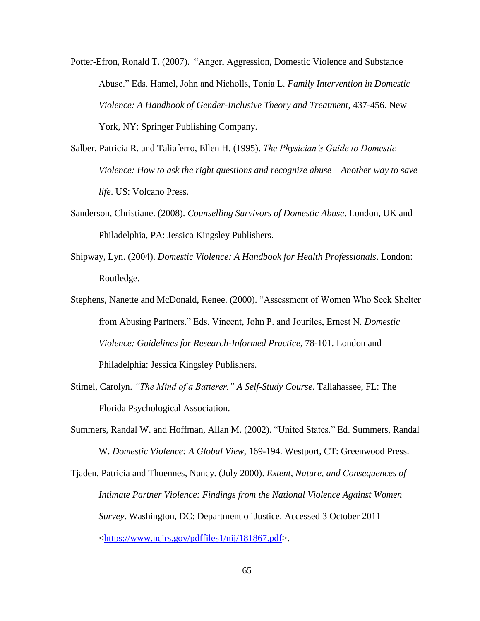- Potter-Efron, Ronald T. (2007). "Anger, Aggression, Domestic Violence and Substance Abuse." Eds. Hamel, John and Nicholls, Tonia L. *Family Intervention in Domestic Violence: A Handbook of Gender-Inclusive Theory and Treatment*, 437-456. New York, NY: Springer Publishing Company.
- Salber, Patricia R. and Taliaferro, Ellen H. (1995). *The Physician"s Guide to Domestic Violence: How to ask the right questions and recognize abuse – Another way to save life*. US: Volcano Press.
- Sanderson, Christiane. (2008). *Counselling Survivors of Domestic Abuse*. London, UK and Philadelphia, PA: Jessica Kingsley Publishers.
- Shipway, Lyn. (2004). *Domestic Violence: A Handbook for Health Professionals*. London: Routledge.

Stephens, Nanette and McDonald, Renee. (2000). "Assessment of Women Who Seek Shelter from Abusing Partners." Eds. Vincent, John P. and Jouriles, Ernest N. *Domestic Violence: Guidelines for Research-Informed Practice*, 78-101. London and Philadelphia: Jessica Kingsley Publishers.

- Stimel, Carolyn. *"The Mind of a Batterer." A Self-Study Course*. Tallahassee, FL: The Florida Psychological Association.
- Summers, Randal W. and Hoffman, Allan M. (2002). "United States." Ed. Summers, Randal W. *Domestic Violence: A Global View*, 169-194. Westport, CT: Greenwood Press.

Tjaden, Patricia and Thoennes, Nancy. (July 2000). *Extent, Nature, and Consequences of Intimate Partner Violence: Findings from the National Violence Against Women Survey*. Washington, DC: Department of Justice. Accessed 3 October 2011 [<https://www.ncjrs.gov/pdffiles1/nij/181867.pdf>](https://www.ncjrs.gov/pdffiles1/nij/181867.pdf).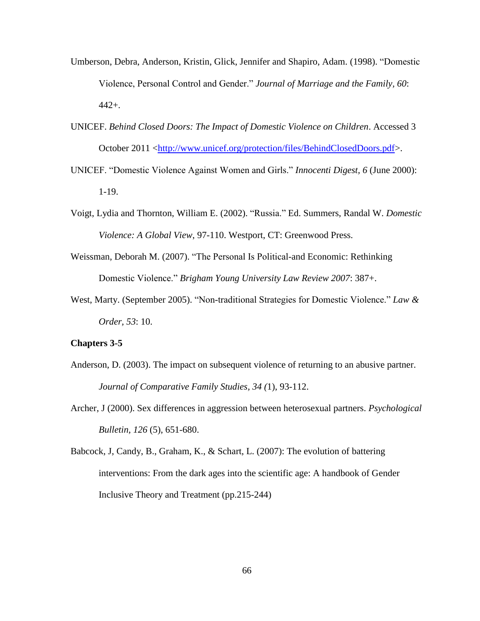- Umberson, Debra, Anderson, Kristin, Glick, Jennifer and Shapiro, Adam. (1998). "Domestic Violence, Personal Control and Gender." *Journal of Marriage and the Family, 60*: 442+.
- UNICEF. *Behind Closed Doors: The Impact of Domestic Violence on Children*. Accessed 3 October 2011 [<http://www.unicef.org/protection/files/BehindClosedDoors.pdf>](http://www.unicef.org/protection/files/BehindClosedDoors.pdf).
- UNICEF. "Domestic Violence Against Women and Girls." *Innocenti Digest, 6* (June 2000): 1-19.
- Voigt, Lydia and Thornton, William E. (2002). "Russia." Ed. Summers, Randal W. *Domestic Violence: A Global View*, 97-110. Westport, CT: Greenwood Press.
- Weissman, Deborah M. (2007). "The Personal Is Political-and Economic: Rethinking Domestic Violence." *Brigham Young University Law Review 2007*: 387+.
- West, Marty. (September 2005). "Non-traditional Strategies for Domestic Violence." *Law & Order, 53*: 10.

## **Chapters 3-5**

- Anderson, D. (2003). The impact on subsequent violence of returning to an abusive partner. *Journal of Comparative Family Studies, 34 (*1), 93-112.
- Archer, J (2000). Sex differences in aggression between heterosexual partners. *Psychological Bulletin, 126* (5), 651-680.
- Babcock, J, Candy, B., Graham, K., & Schart, L. (2007): The evolution of battering interventions: From the dark ages into the scientific age: A handbook of Gender Inclusive Theory and Treatment (pp.215-244)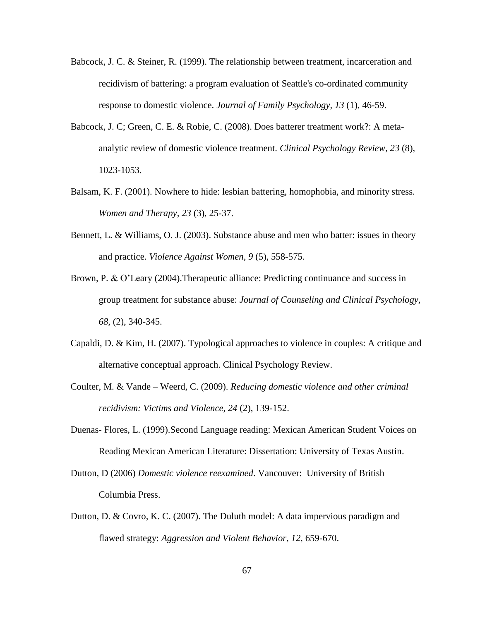- Babcock, J. C. & Steiner, R. (1999). The relationship between treatment, incarceration and recidivism of battering: a program evaluation of Seattle's co-ordinated community response to domestic violence. *Journal of Family Psychology, 13* (1), 46-59.
- Babcock, J. C; Green, C. E. & Robie, C. (2008). Does batterer treatment work?: A metaanalytic review of domestic violence treatment. *Clinical Psychology Review, 23* (8), 1023-1053.
- Balsam, K. F. (2001). Nowhere to hide: lesbian battering, homophobia, and minority stress. *Women and Therapy, 23* (3), 25-37.
- Bennett, L. & Williams, O. J. (2003). Substance abuse and men who batter: issues in theory and practice. *Violence Against Women, 9* (5), 558-575.
- Brown, P. & O'Leary (2004). Therapeutic alliance: Predicting continuance and success in group treatment for substance abuse: *Journal of Counseling and Clinical Psychology, 68*, (2), 340-345.
- Capaldi, D. & Kim, H. (2007). Typological approaches to violence in couples: A critique and alternative conceptual approach. Clinical Psychology Review.
- Coulter, M. & Vande Weerd, C. (2009). *Reducing domestic violence and other criminal recidivism: Victims and Violence, 24* (2), 139-152.
- Duenas- Flores, L. (1999).Second Language reading: Mexican American Student Voices on Reading Mexican American Literature: Dissertation: University of Texas Austin.
- Dutton, D (2006) *Domestic violence reexamined*. Vancouver: University of British Columbia Press.
- Dutton, D. & Covro, K. C. (2007). The Duluth model: A data impervious paradigm and flawed strategy: *Aggression and Violent Behavior, 12*, 659-670.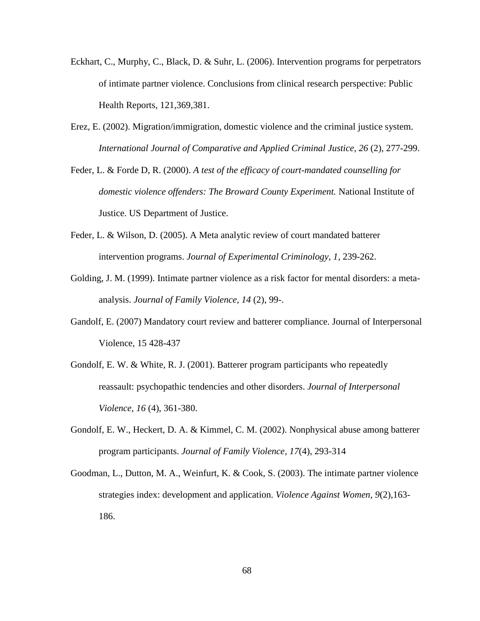- Eckhart, C., Murphy, C., Black, D. & Suhr, L. (2006). Intervention programs for perpetrators of intimate partner violence. Conclusions from clinical research perspective: Public Health Reports, 121,369,381.
- Erez, E. (2002). Migration/immigration, domestic violence and the criminal justice system. *International Journal of Comparative and Applied Criminal Justice, 26* (2), 277-299.
- Feder, L. & Forde D, R. (2000). *A test of the efficacy of court-mandated counselling for domestic violence offenders: The Broward County Experiment.* National Institute of Justice. US Department of Justice.
- Feder, L. & Wilson, D. (2005). A Meta analytic review of court mandated batterer intervention programs. *Journal of Experimental Criminology, 1*, 239-262.
- Golding, J. M. (1999). Intimate partner violence as a risk factor for mental disorders: a metaanalysis. *Journal of Family Violence, 14* (2), 99-.
- Gandolf, E. (2007) Mandatory court review and batterer compliance. Journal of Interpersonal Violence, 15 428-437
- Gondolf, E. W. & White, R. J. (2001). Batterer program participants who repeatedly reassault: psychopathic tendencies and other disorders. *Journal of Interpersonal Violence, 16* (4), 361-380.
- Gondolf, E. W., Heckert, D. A. & Kimmel, C. M. (2002). Nonphysical abuse among batterer program participants. *Journal of Family Violence, 17*(4), 293-314
- Goodman, L., Dutton, M. A., Weinfurt, K. & Cook, S. (2003). The intimate partner violence strategies index: development and application. *Violence Against Women, 9*(2),163- 186.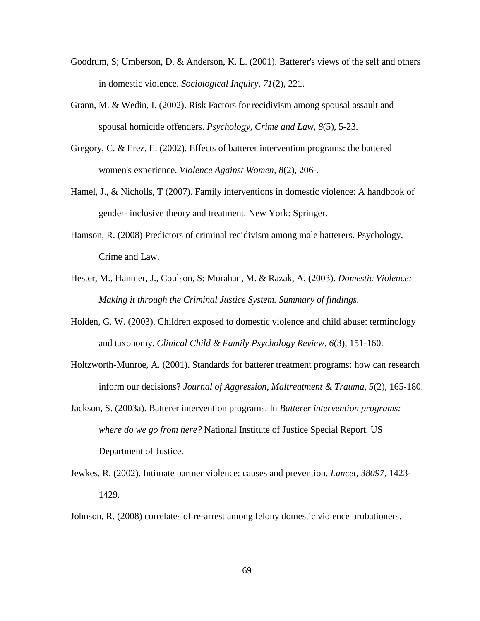- Goodrum, S; Umberson, D. & Anderson, K. L. (2001). Batterer's views of the self and others in domestic violence. *Sociological Inquiry, 71*(2), 221.
- Grann, M. & Wedin, I. (2002). Risk Factors for recidivism among spousal assault and spousal homicide offenders. *Psychology, Crime and Law, 8*(5), 5-23.
- Gregory, C. & Erez, E. (2002). Effects of batterer intervention programs: the battered women's experience. *Violence Against Women, 8*(2), 206-.
- Hamel, J., & Nicholls, T (2007). Family interventions in domestic violence: A handbook of gender- inclusive theory and treatment. New York: Springer.
- Hamson, R. (2008) Predictors of criminal recidivism among male batterers. Psychology, Crime and Law.
- Hester, M., Hanmer, J., Coulson, S; Morahan, M. & Razak, A. (2003). *Domestic Violence: Making it through the Criminal Justice System. Summary of findings.*
- Holden, G. W. (2003). Children exposed to domestic violence and child abuse: terminology and taxonomy. *Clinical Child & Family Psychology Review, 6*(3), 151-160.
- Holtzworth-Munroe, A. (2001). Standards for batterer treatment programs: how can research inform our decisions? *Journal of Aggression, Maltreatment & Trauma, 5*(2), 165-180.
- Jackson, S. (2003a). Batterer intervention programs. In *Batterer intervention programs: where do we go from here?* National Institute of Justice Special Report. US Department of Justice.
- Jewkes, R. (2002). Intimate partner violence: causes and prevention. *Lancet, 38097,* 1423- 1429.
- Johnson, R. (2008) correlates of re-arrest among felony domestic violence probationers.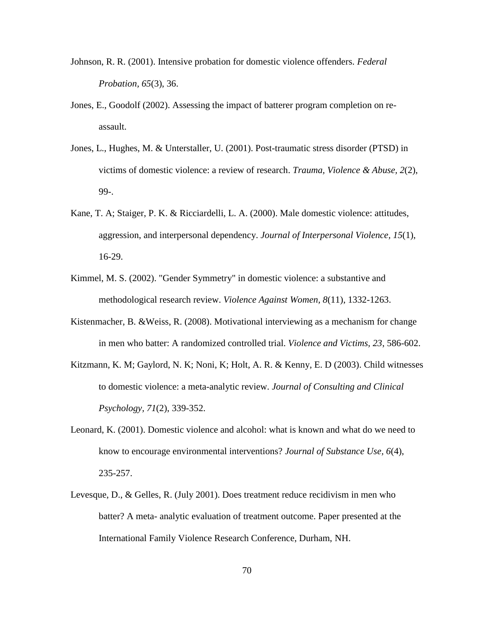- Johnson, R. R. (2001). Intensive probation for domestic violence offenders. *Federal Probation, 65*(3), 36.
- Jones, E., Goodolf (2002). Assessing the impact of batterer program completion on reassault.
- Jones, L., Hughes, M. & Unterstaller, U. (2001). Post-traumatic stress disorder (PTSD) in victims of domestic violence: a review of research. *Trauma, Violence & Abuse, 2*(2), 99-.
- Kane, T. A; Staiger, P. K. & Ricciardelli, L. A. (2000). Male domestic violence: attitudes, aggression, and interpersonal dependency. *Journal of Interpersonal Violence, 15*(1), 16-29.
- Kimmel, M. S. (2002). "Gender Symmetry" in domestic violence: a substantive and methodological research review. *Violence Against Women, 8*(11), 1332-1263.
- Kistenmacher, B. &Weiss, R. (2008). Motivational interviewing as a mechanism for change in men who batter: A randomized controlled trial. *Violence and Victims, 23*, 586-602.
- Kitzmann, K. M; Gaylord, N. K; Noni, K; Holt, A. R. & Kenny, E. D (2003). Child witnesses to domestic violence: a meta-analytic review. *Journal of Consulting and Clinical Psychology, 71*(2), 339-352.
- Leonard, K. (2001). Domestic violence and alcohol: what is known and what do we need to know to encourage environmental interventions? *Journal of Substance Use, 6*(4), 235-257.
- Levesque, D., & Gelles, R. (July 2001). Does treatment reduce recidivism in men who batter? A meta- analytic evaluation of treatment outcome. Paper presented at the International Family Violence Research Conference, Durham, NH.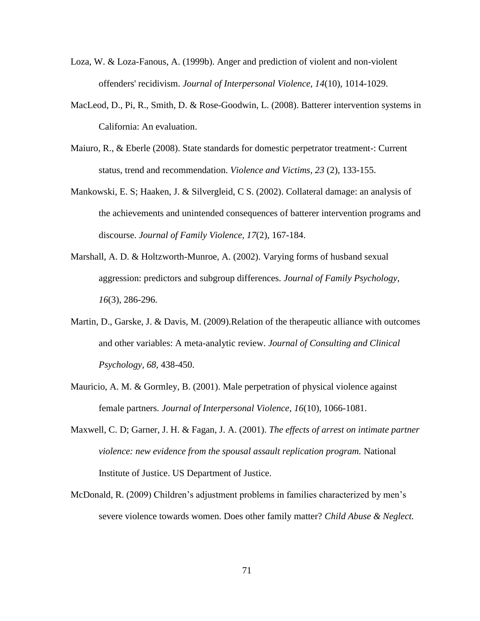- Loza, W. & Loza-Fanous, A. (1999b). Anger and prediction of violent and non-violent offenders' recidivism. *Journal of Interpersonal Violence, 14*(10), 1014-1029.
- MacLeod, D., Pi, R., Smith, D. & Rose-Goodwin, L. (2008). Batterer intervention systems in California: An evaluation.
- Maiuro, R., & Eberle (2008). State standards for domestic perpetrator treatment-: Current status, trend and recommendation. *Violence and Victims, 23* (2), 133-155.
- Mankowski, E. S; Haaken, J. & Silvergleid, C S. (2002). Collateral damage: an analysis of the achievements and unintended consequences of batterer intervention programs and discourse. *Journal of Family Violence, 17*(2), 167-184.
- Marshall, A. D. & Holtzworth-Munroe, A. (2002). Varying forms of husband sexual aggression: predictors and subgroup differences. *Journal of Family Psychology, 16*(3), 286-296.
- Martin, D., Garske, J. & Davis, M. (2009).Relation of the therapeutic alliance with outcomes and other variables: A meta-analytic review. *Journal of Consulting and Clinical Psychology, 68*, 438-450.
- Mauricio, A. M. & Gormley, B. (2001). Male perpetration of physical violence against female partners. *Journal of Interpersonal Violence, 16*(10), 1066-1081.
- Maxwell, C. D; Garner, J. H. & Fagan, J. A. (2001). *The effects of arrest on intimate partner violence: new evidence from the spousal assault replication program.* National Institute of Justice. US Department of Justice.
- McDonald, R. (2009) Children"s adjustment problems in families characterized by men"s severe violence towards women. Does other family matter? *Child Abuse & Neglect.*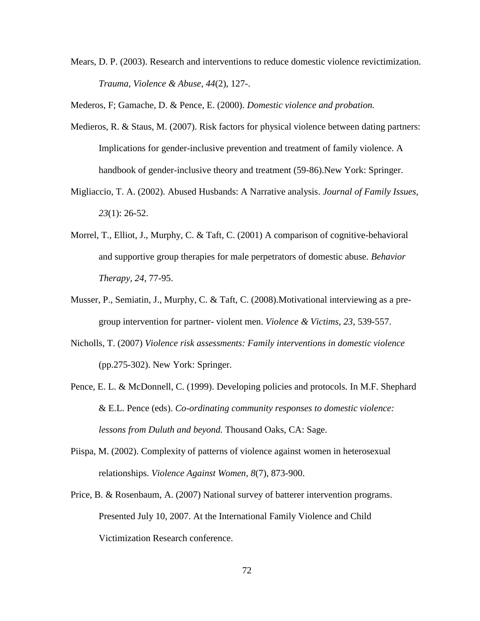Mears, D. P. (2003). Research and interventions to reduce domestic violence revictimization. *Trauma, Violence & Abuse, 44*(2), 127-.

Mederos, F; Gamache, D. & Pence, E. (2000). *Domestic violence and probation.*

- Medieros, R. & Staus, M. (2007). Risk factors for physical violence between dating partners: Implications for gender-inclusive prevention and treatment of family violence. A handbook of gender-inclusive theory and treatment (59-86).New York: Springer.
- Migliaccio, T. A. (2002). Abused Husbands: A Narrative analysis. *Journal of Family Issues, 23*(1): 26-52.
- Morrel, T., Elliot, J., Murphy, C. & Taft, C. (2001) A comparison of cognitive-behavioral and supportive group therapies for male perpetrators of domestic abuse. *Behavior Therapy, 24*, 77-95.
- Musser, P., Semiatin, J., Murphy, C. & Taft, C. (2008).Motivational interviewing as a pregroup intervention for partner- violent men. *Violence & Victims, 23*, 539-557.
- Nicholls, T. (2007) *Violence risk assessments: Family interventions in domestic violence* (pp.275-302). New York: Springer.
- Pence, E. L. & McDonnell, C. (1999). Developing policies and protocols. In M.F. Shephard & E.L. Pence (eds). *Co-ordinating community responses to domestic violence: lessons from Duluth and beyond.* Thousand Oaks, CA: Sage.
- Piispa, M. (2002). Complexity of patterns of violence against women in heterosexual relationships. *Violence Against Women, 8*(7), 873-900.
- Price, B. & Rosenbaum, A. (2007) National survey of batterer intervention programs. Presented July 10, 2007. At the International Family Violence and Child Victimization Research conference.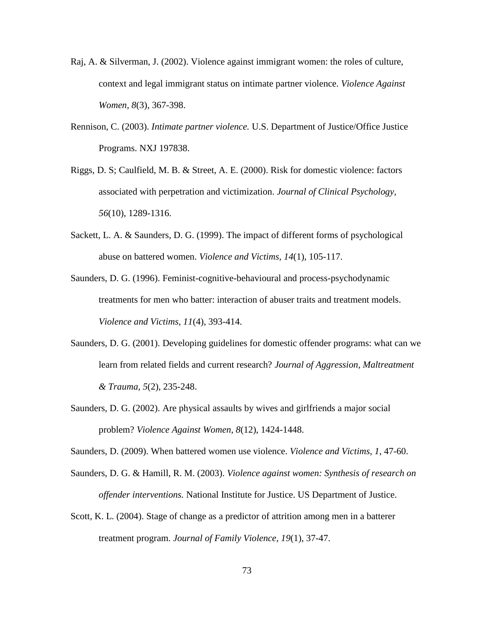- Raj, A. & Silverman, J. (2002). Violence against immigrant women: the roles of culture, context and legal immigrant status on intimate partner violence. *Violence Against Women, 8*(3), 367-398.
- Rennison, C. (2003). *Intimate partner violence.* U.S. Department of Justice/Office Justice Programs. NXJ 197838.
- Riggs, D. S; Caulfield, M. B. & Street, A. E. (2000). Risk for domestic violence: factors associated with perpetration and victimization. *Journal of Clinical Psychology, 56*(10), 1289-1316.
- Sackett, L. A. & Saunders, D. G. (1999). The impact of different forms of psychological abuse on battered women. *Violence and Victims, 14*(1), 105-117.
- Saunders, D. G. (1996). Feminist-cognitive-behavioural and process-psychodynamic treatments for men who batter: interaction of abuser traits and treatment models. *Violence and Victims, 11*(4), 393-414.
- Saunders, D. G. (2001). Developing guidelines for domestic offender programs: what can we learn from related fields and current research? *Journal of Aggression, Maltreatment & Trauma, 5*(2), 235-248.
- Saunders, D. G. (2002). Are physical assaults by wives and girlfriends a major social problem? *Violence Against Women, 8*(12), 1424-1448.

Saunders, D. (2009). When battered women use violence. *Violence and Victims, 1*, 47-60.

- Saunders, D. G. & Hamill, R. M. (2003). *Violence against women: Synthesis of research on offender interventions.* National Institute for Justice. US Department of Justice.
- Scott, K. L. (2004). Stage of change as a predictor of attrition among men in a batterer treatment program. *Journal of Family Violence, 19*(1), 37-47.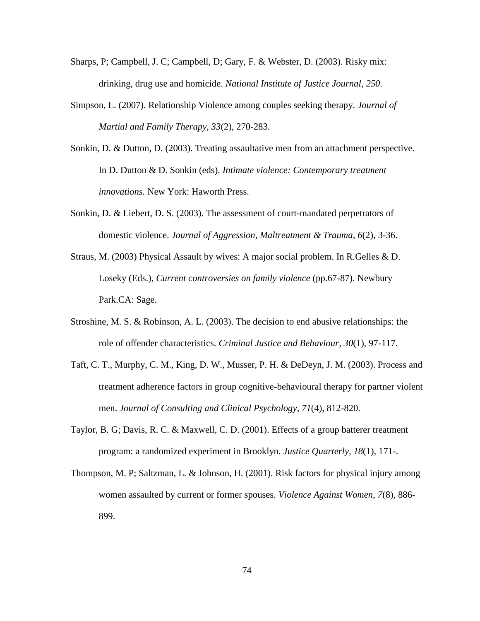- Sharps, P; Campbell, J. C; Campbell, D; Gary, F. & Webster, D. (2003). Risky mix: drinking, drug use and homicide. *National Institute of Justice Journal, 250.*
- Simpson, L. (2007). Relationship Violence among couples seeking therapy. *Journal of Martial and Family Therapy, 33*(2), 270-283.
- Sonkin, D. & Dutton, D. (2003). Treating assaultative men from an attachment perspective. In D. Dutton & D. Sonkin (eds). *Intimate violence: Contemporary treatment innovations.* New York: Haworth Press.
- Sonkin, D. & Liebert, D. S. (2003). The assessment of court-mandated perpetrators of domestic violence. *Journal of Aggression, Maltreatment & Trauma, 6*(2), 3-36.
- Straus, M. (2003) Physical Assault by wives: A major social problem. In R.Gelles & D. Loseky (Eds.), *Current controversies on family violence* (pp.67-87). Newbury Park.CA: Sage.
- Stroshine, M. S. & Robinson, A. L. (2003). The decision to end abusive relationships: the role of offender characteristics. *Criminal Justice and Behaviour, 30*(1), 97-117.
- Taft, C. T., Murphy, C. M., King, D. W., Musser, P. H. & DeDeyn, J. M. (2003). Process and treatment adherence factors in group cognitive-behavioural therapy for partner violent men. *Journal of Consulting and Clinical Psychology, 71*(4), 812-820.
- Taylor, B. G; Davis, R. C. & Maxwell, C. D. (2001). Effects of a group batterer treatment program: a randomized experiment in Brooklyn. *Justice Quarterly, 18*(1), 171-.
- Thompson, M. P; Saltzman, L. & Johnson, H. (2001). Risk factors for physical injury among women assaulted by current or former spouses. *Violence Against Women, 7*(8), 886- 899.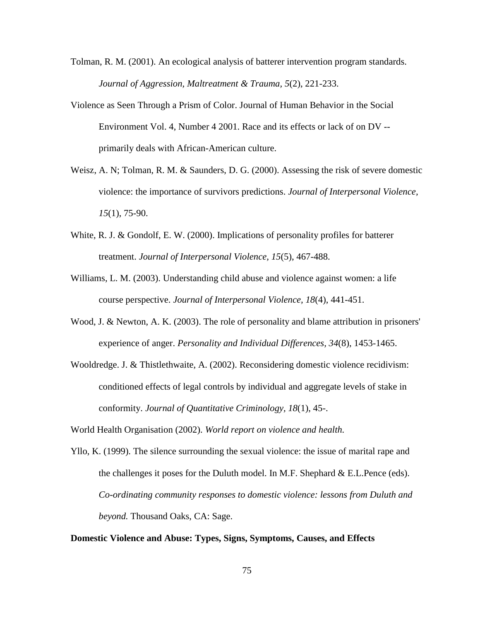- Tolman, R. M. (2001). An ecological analysis of batterer intervention program standards. *Journal of Aggression, Maltreatment & Trauma, 5*(2), 221-233.
- Violence as Seen Through a Prism of Color. Journal of Human Behavior in the Social Environment Vol. 4, Number 4 2001. Race and its effects or lack of on DV - primarily deals with African-American culture.
- Weisz, A. N; Tolman, R. M. & Saunders, D. G. (2000). Assessing the risk of severe domestic violence: the importance of survivors predictions. *Journal of Interpersonal Violence, 15*(1), 75-90.
- White, R. J. & Gondolf, E. W. (2000). Implications of personality profiles for batterer treatment. *Journal of Interpersonal Violence, 15*(5), 467-488.
- Williams, L. M. (2003). Understanding child abuse and violence against women: a life course perspective. *Journal of Interpersonal Violence, 18*(4), 441-451.
- Wood, J. & Newton, A. K. (2003). The role of personality and blame attribution in prisoners' experience of anger. *Personality and Individual Differences, 34*(8), 1453-1465.
- Wooldredge. J. & Thistlethwaite, A. (2002). Reconsidering domestic violence recidivism: conditioned effects of legal controls by individual and aggregate levels of stake in conformity. *Journal of Quantitative Criminology, 18*(1), 45-.

World Health Organisation (2002). *World report on violence and health.*

Yllo, K. (1999). The silence surrounding the sexual violence: the issue of marital rape and the challenges it poses for the Duluth model. In M.F. Shephard & E.L.Pence (eds). *Co-ordinating community responses to domestic violence: lessons from Duluth and beyond.* Thousand Oaks, CA: Sage.

## **Domestic Violence and Abuse: Types, Signs, Symptoms, Causes, and Effects**